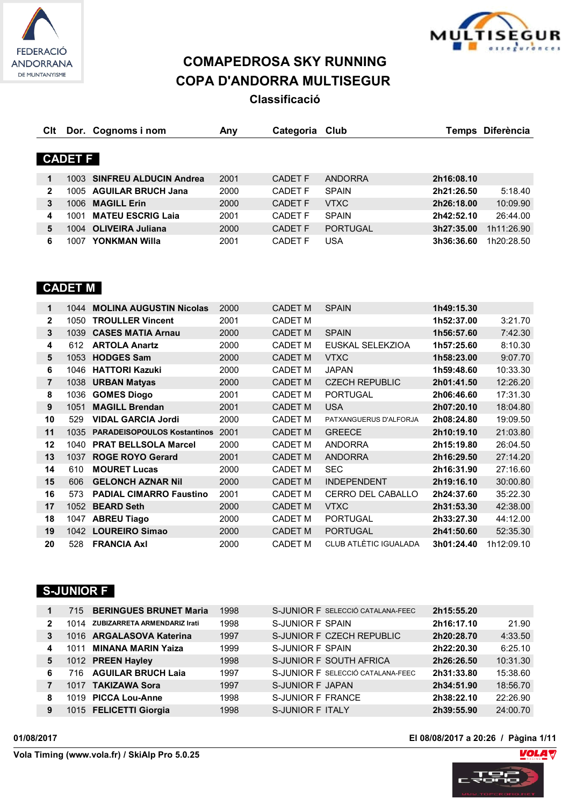



# **COMAPEDROSA SKY RUNNING COPA D'ANDORRA MULTISEGUR**

**Classificació**

| CIt          |                | Dor. Cognoms i nom          | Any  | Categoria Club |                 | Temps      | <b>Diferència</b> |
|--------------|----------------|-----------------------------|------|----------------|-----------------|------------|-------------------|
|              |                |                             |      |                |                 |            |                   |
|              | <b>CADET F</b> |                             |      |                |                 |            |                   |
| 1            |                | 1003 SINFREU ALDUCIN Andrea | 2001 | CADET F        | <b>ANDORRA</b>  | 2h16:08.10 |                   |
| $\mathbf{2}$ |                | 1005 AGUILAR BRUCH Jana     | 2000 | CADET F        | <b>SPAIN</b>    | 2h21:26.50 | 5:18.40           |
| 3            | 1006           | <b>MAGILL Erin</b>          | 2000 | <b>CADET F</b> | <b>VTXC</b>     | 2h26:18.00 | 10:09.90          |
| 4            | 1001           | <b>MATEU ESCRIG Laia</b>    | 2001 | <b>CADET F</b> | <b>SPAIN</b>    | 2h42:52.10 | 26:44.00          |
| 5            |                | 1004 OLIVEIRA Juliana       | 2000 | <b>CADET F</b> | <b>PORTUGAL</b> | 3h27:35.00 | 1h11:26.90        |
| 6            | 1007           | YONKMAN Willa               | 2001 | <b>CADET F</b> | USA             | 3h36:36.60 | 1h20:28.50        |

# **CADET M**

| 1  | 1044 | <b>MOLINA AUGUSTIN Nicolas</b>     | 2000 | <b>CADET M</b> | <b>SPAIN</b>                 | 1h49:15.30 |            |
|----|------|------------------------------------|------|----------------|------------------------------|------------|------------|
| 2  | 1050 | <b>TROULLER Vincent</b>            | 2001 | <b>CADET M</b> |                              | 1h52:37.00 | 3:21.70    |
| 3  | 1039 | <b>CASES MATIA Arnau</b>           | 2000 | <b>CADET M</b> | <b>SPAIN</b>                 | 1h56:57.60 | 7:42.30    |
| 4  | 612  | <b>ARTOLA Anartz</b>               | 2000 | CADET M        | EUSKAL SELEKZIOA             | 1h57:25.60 | 8:10.30    |
| 5  | 1053 | <b>HODGES Sam</b>                  | 2000 | <b>CADET M</b> | <b>VTXC</b>                  | 1h58:23.00 | 9:07.70    |
| 6  | 1046 | <b>HATTORI Kazuki</b>              | 2000 | <b>CADET M</b> | <b>JAPAN</b>                 | 1h59:48.60 | 10:33.30   |
| 7  |      | 1038 URBAN Matyas                  | 2000 | <b>CADET M</b> | <b>CZECH REPUBLIC</b>        | 2h01:41.50 | 12:26.20   |
| 8  | 1036 | <b>GOMES Diogo</b>                 | 2001 | <b>CADET M</b> | <b>PORTUGAL</b>              | 2h06:46.60 | 17:31.30   |
| 9  | 1051 | <b>MAGILL Brendan</b>              | 2001 | <b>CADET M</b> | <b>USA</b>                   | 2h07:20.10 | 18:04.80   |
| 10 | 529  | <b>VIDAL GARCIA Jordi</b>          | 2000 | CADET M        | PATXANGUERUS D'ALFORJA       | 2h08:24.80 | 19:09.50   |
| 11 | 1035 | <b>PARADEISOPOULOS Kostantinos</b> | 2001 | <b>CADET M</b> | <b>GREECE</b>                | 2h10:19.10 | 21:03.80   |
| 12 | 1040 | <b>PRAT BELLSOLA Marcel</b>        | 2000 | <b>CADET M</b> | <b>ANDORRA</b>               | 2h15:19.80 | 26:04.50   |
| 13 | 1037 | <b>ROGE ROYO Gerard</b>            | 2001 | <b>CADET M</b> | <b>ANDORRA</b>               | 2h16:29.50 | 27:14.20   |
| 14 | 610  | <b>MOURET Lucas</b>                | 2000 | <b>CADET M</b> | <b>SEC</b>                   | 2h16:31.90 | 27:16.60   |
| 15 | 606  | <b>GELONCH AZNAR Nil</b>           | 2000 | <b>CADET M</b> | <b>INDEPENDENT</b>           | 2h19:16.10 | 30:00.80   |
| 16 | 573  | <b>PADIAL CIMARRO Faustino</b>     | 2001 | <b>CADET M</b> | CERRO DEL CABALLO            | 2h24:37.60 | 35:22.30   |
| 17 | 1052 | <b>BEARD Seth</b>                  | 2000 | <b>CADET M</b> | <b>VTXC</b>                  | 2h31:53.30 | 42:38.00   |
| 18 | 1047 | <b>ABREU Tiago</b>                 | 2000 | <b>CADET M</b> | <b>PORTUGAL</b>              | 2h33:27.30 | 44:12.00   |
| 19 |      | 1042 LOUREIRO Simao                | 2000 | <b>CADET M</b> | <b>PORTUGAL</b>              | 2h41:50.60 | 52:35.30   |
| 20 | 528  | <b>FRANCIA Axl</b>                 | 2000 | CADET M        | <b>CLUB ATLÈTIC IGUALADA</b> | 3h01:24.40 | 1h12:09.10 |

#### **S-JUNIOR F**

|   |      | 715 BERINGUES BRUNET Maria   | 1998 | S-JUNIOR F SELECCIÓ CATALANA-FEEC | 2h15:55.20 |          |
|---|------|------------------------------|------|-----------------------------------|------------|----------|
| 2 | 1014 | ZUBIZARRETA ARMENDARIZ Irati | 1998 | S-JUNIOR F SPAIN                  | 2h16:17.10 | 21.90    |
| 3 |      | 1016 ARGALASOVA Katerina     | 1997 | S-JUNIOR F CZECH REPUBLIC         | 2h20:28.70 | 4:33.50  |
| 4 | 1011 | <b>MINANA MARIN Yaiza</b>    | 1999 | S-JUNIOR F SPAIN                  | 2h22:20.30 | 6:25.10  |
| 5 |      | 1012 PREEN Hayley            | 1998 | S-JUNIOR F SOUTH AFRICA           | 2h26:26.50 | 10:31.30 |
| 6 |      | 716 AGUILAR BRUCH Laia       | 1997 | S-JUNIOR F SELECCIÓ CATALANA-FEEC | 2h31:33.80 | 15:38.60 |
|   |      | 1017 TAKIZAWA Sora           | 1997 | S-JUNIOR F JAPAN                  | 2h34:51.90 | 18:56.70 |
| 8 |      | 1019 PICCA Lou-Anne          | 1998 | S-JUNIOR F FRANCE                 | 2h38:22.10 | 22:26.90 |
| 9 |      | 1015 FELICETTI Giorgia       | 1998 | S-JUNIOR F ITALY                  | 2h39:55.90 | 24:00.70 |

**01/08/2017 El 08/08/2017 a 20:26 / Pàgina 1/11**

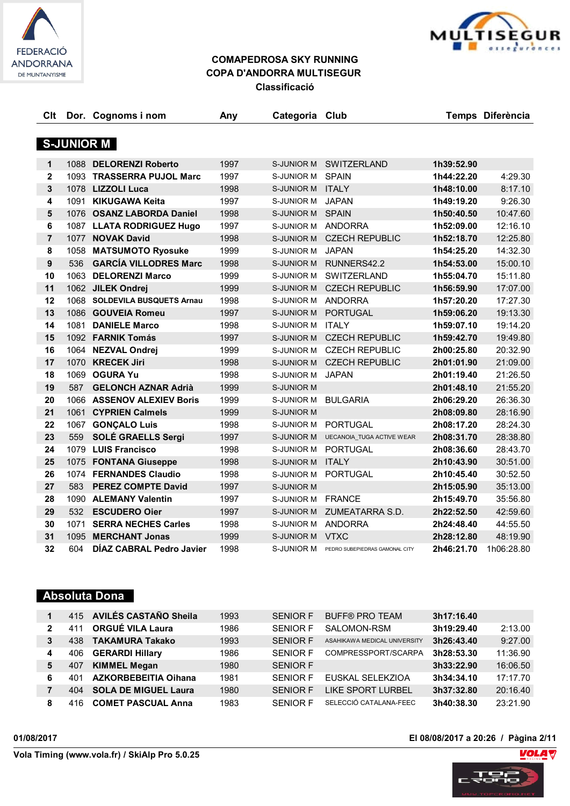



| Clt            |      | Dor. Cognoms i nom            | Any  | Categoria Club     |                                  |            | Temps Diferència |
|----------------|------|-------------------------------|------|--------------------|----------------------------------|------------|------------------|
|                |      |                               |      |                    |                                  |            |                  |
|                |      | <b>S-JUNIOR M</b>             |      |                    |                                  |            |                  |
| $\mathbf{1}$   |      | 1088 DELORENZI Roberto        | 1997 |                    | S-JUNIOR M SWITZERLAND           | 1h39:52.90 |                  |
| $\mathbf{2}$   |      | 1093 TRASSERRA PUJOL Marc     | 1997 | S-JUNIOR M         | <b>SPAIN</b>                     | 1h44:22.20 | 4:29.30          |
| $\mathbf{3}$   |      | 1078 LIZZOLI Luca             | 1998 | S-JUNIOR M ITALY   |                                  | 1h48:10.00 | 8:17.10          |
| 4              | 1091 | KIKUGAWA Keita                | 1997 | S-JUNIOR M         | <b>JAPAN</b>                     | 1h49:19.20 | 9:26.30          |
| 5              |      | 1076 OSANZ LABORDA Daniel     | 1998 | S-JUNIOR M SPAIN   |                                  | 1h50:40.50 | 10:47.60         |
| 6              |      | 1087 LLATA RODRIGUEZ Hugo     | 1997 | S-JUNIOR M ANDORRA |                                  | 1h52:09.00 | 12:16.10         |
| $\overline{7}$ |      | 1077 NOVAK David              | 1998 | S-JUNIOR M         | <b>CZECH REPUBLIC</b>            | 1h52:18.70 | 12:25.80         |
| 8              | 1058 | <b>MATSUMOTO Ryosuke</b>      | 1999 | S-JUNIOR M         | <b>JAPAN</b>                     | 1h54:25.20 | 14:32.30         |
| 9              | 536  | <b>GARCÍA VILLODRES Marc</b>  | 1998 | S-JUNIOR M         | RUNNERS42.2                      | 1h54:53.00 | 15:00.10         |
| 10             | 1063 | <b>DELORENZI Marco</b>        | 1999 |                    | S-JUNIOR M SWITZERLAND           | 1h55:04.70 | 15:11.80         |
| 11             |      | 1062 JILEK Ondrej             | 1999 |                    | S-JUNIOR M CZECH REPUBLIC        | 1h56:59.90 | 17:07.00         |
| 12             |      | 1068 SOLDEVILA BUSQUETS Arnau | 1998 | S-JUNIOR M ANDORRA |                                  | 1h57:20.20 | 17:27.30         |
| 13             |      | 1086 GOUVEIA Romeu            | 1997 | S-JUNIOR M         | <b>PORTUGAL</b>                  | 1h59:06.20 | 19:13.30         |
| 14             | 1081 | <b>DANIELE Marco</b>          | 1998 | S-JUNIOR M         | <b>ITALY</b>                     | 1h59:07.10 | 19:14.20         |
| 15             |      | 1092 FARNIK Tomás             | 1997 | <b>S-JUNIOR M</b>  | <b>CZECH REPUBLIC</b>            | 1h59:42.70 | 19:49.80         |
| 16             |      | 1064 NEZVAL Ondrej            | 1999 | S-JUNIOR M         | <b>CZECH REPUBLIC</b>            | 2h00:25.80 | 20:32.90         |
| 17             |      | 1070 KRECEK Jiri              | 1998 | S-JUNIOR M         | <b>CZECH REPUBLIC</b>            | 2h01:01.90 | 21:09.00         |
| 18             | 1069 | <b>OGURA Yu</b>               | 1998 | S-JUNIOR M         | <b>JAPAN</b>                     | 2h01:19.40 | 21:26.50         |
| 19             | 587  | <b>GELONCH AZNAR Adrià</b>    | 1999 | <b>S-JUNIOR M</b>  |                                  | 2h01:48.10 | 21:55.20         |
| 20             |      | 1066 ASSENOV ALEXIEV Boris    | 1999 | S-JUNIOR M         | <b>BULGARIA</b>                  | 2h06:29.20 | 26:36.30         |
| 21             |      | 1061 CYPRIEN Calmels          | 1999 | <b>S-JUNIOR M</b>  |                                  | 2h08:09.80 | 28:16.90         |
| 22             |      | 1067 GONÇALO Luis             | 1998 | S-JUNIOR M         | PORTUGAL                         | 2h08:17.20 | 28:24.30         |
| 23             | 559  | SOLÉ GRAELLS Sergi            | 1997 | S-JUNIOR M         | <b>UECANOIA TUGA ACTIVE WEAR</b> | 2h08:31.70 | 28:38.80         |
| 24             |      | 1079 LUIS Francisco           | 1998 | S-JUNIOR M         | <b>PORTUGAL</b>                  | 2h08:36.60 | 28:43.70         |
| 25             |      | 1075 FONTANA Giuseppe         | 1998 | S-JUNIOR M ITALY   |                                  | 2h10:43.90 | 30:51.00         |
| 26             |      | 1074 FERNANDES Claudio        | 1998 | S-JUNIOR M         | PORTUGAL                         | 2h10:45.40 | 30:52.50         |
| 27             | 583  | <b>PEREZ COMPTE David</b>     | 1997 | <b>S-JUNIOR M</b>  |                                  | 2h15:05.90 | 35:13.00         |
| 28             | 1090 | <b>ALEMANY Valentin</b>       | 1997 | S-JUNIOR M         | <b>FRANCE</b>                    | 2h15:49.70 | 35:56.80         |
| 29             | 532  | <b>ESCUDERO Oier</b>          | 1997 | <b>S-JUNIOR M</b>  | ZUMEATARRA S.D.                  | 2h22:52.50 | 42:59.60         |
| 30             | 1071 | <b>SERRA NECHES Carles</b>    | 1998 | S-JUNIOR M         | ANDORRA                          | 2h24:48.40 | 44:55.50         |
| 31             | 1095 | <b>MERCHANT Jonas</b>         | 1999 | S-JUNIOR M VTXC    |                                  | 2h28:12.80 | 48:19.90         |
| 32             | 604  | DÍAZ CABRAL Pedro Javier      | 1998 | S-JUNIOR M         | PEDRO SUBEPIEDRAS GAMONAL CITY   | 2h46:21.70 | 1h06:28.80       |

#### **Absoluta Dona**

|              |      | 415 AVILÉS CASTAÑO Sheila   | 1993 | <b>SENIOR F</b> | <b>BUFF® PRO TEAM</b>        | 3h17:16.40 |          |
|--------------|------|-----------------------------|------|-----------------|------------------------------|------------|----------|
| $\mathbf{2}$ |      | <b>ORGUÉ VILA Laura</b>     | 1986 | <b>SENIOR F</b> | SALOMON-RSM                  | 3h19:29.40 | 2:13.00  |
| 3            | 438. | <b>TAKAMURA Takako</b>      | 1993 | <b>SENIOR F</b> | ASAHIKAWA MEDICAL UNIVERSITY | 3h26:43.40 | 9:27.00  |
| 4            | 406  | <b>GERARDI Hillary</b>      | 1986 | SENIOR F        | COMPRESSPORT/SCARPA          | 3h28:53.30 | 11:36.90 |
| 5            | 407  | <b>KIMMEL Megan</b>         | 1980 | <b>SENIOR F</b> |                              | 3h33:22.90 | 16:06.50 |
| 6            | 401  | <b>AZKORBEBEITIA Oihana</b> | 1981 | SENIOR F        | EUSKAL SELEKZIOA             | 3h34:34.10 | 17:17.70 |
|              | 404  | <b>SOLA DE MIGUEL Laura</b> | 1980 | SENIOR F        | LIKE SPORT LURBEL            | 3h37:32.80 | 20:16.40 |
| 8            | 416  | <b>COMET PASCUAL Anna</b>   | 1983 | <b>SENIOR F</b> | SELECCIÓ CATALANA-FEEC       | 3h40:38.30 | 23:21.90 |

**01/08/2017 El 08/08/2017 a 20:26 / Pàgina 2/11**



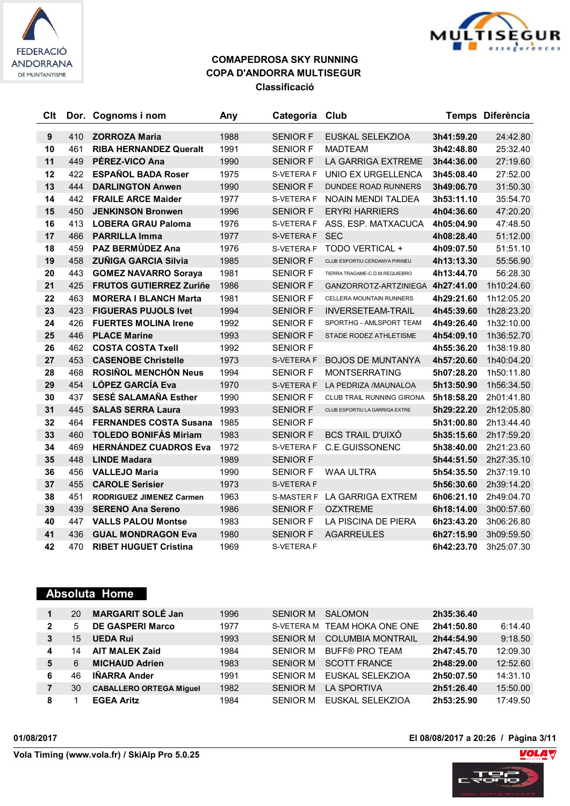



| Clt              |     | Dor. Cognoms i nom              | Any  | Categoria         | Club                             |            | Temps Diferència |
|------------------|-----|---------------------------------|------|-------------------|----------------------------------|------------|------------------|
| $\boldsymbol{9}$ | 410 | <b>ZORROZA Maria</b>            | 1988 | <b>SENIOR F</b>   | EUSKAL SELEKZIOA                 | 3h41:59.20 | 24:42.80         |
| 10               | 461 | <b>RIBA HERNANDEZ Queralt</b>   | 1991 | <b>SENIOR F</b>   | <b>MADTEAM</b>                   | 3h42:48.80 | 25:32.40         |
| 11               | 449 | PÉREZ-VICO Ana                  | 1990 | <b>SENIOR F</b>   | LA GARRIGA EXTREME               | 3h44:36.00 | 27:19.60         |
| 12               | 422 | <b>ESPAÑOL BADA Roser</b>       | 1975 | S-VETERA F        | UNIO EX URGELLENCA               | 3h45:08.40 | 27:52.00         |
| 13               | 444 | <b>DARLINGTON Anwen</b>         | 1990 | <b>SENIOR F</b>   | <b>DUNDEE ROAD RUNNERS</b>       | 3h49:06.70 | 31:50.30         |
| 14               | 442 | <b>FRAILE ARCE Maider</b>       | 1977 | S-VETERA F        | NOAIN MENDI TALDEA               | 3h53:11.10 | 35:54.70         |
| 15               | 450 | <b>JENKINSON Bronwen</b>        | 1996 | <b>SENIOR F</b>   | <b>ERYRI HARRIERS</b>            | 4h04:36.60 | 47:20.20         |
| 16               | 413 | <b>LOBERA GRAU Paloma</b>       | 1976 | S-VETERA F        | ASS. ESP. MATXACUCA              | 4h05:04.90 | 47:48.50         |
| 17               | 466 | <b>PARRILLA Imma</b>            | 1977 | S-VETERA F        | <b>SEC</b>                       | 4h08:28.40 | 51:12.00         |
| 18               | 459 | PAZ BERMÚDEZ Ana                | 1976 | S-VETERA F        | TODO VERTICAL +                  | 4h09:07.50 | 51:51.10         |
| 19               | 458 | <b>ZUÑIGA GARCIA Silvia</b>     | 1985 | <b>SENIOR F</b>   | CLUB ESPORTIU CERDANYA PIRINEU   | 4h13:13.30 | 55:56.90         |
| 20               | 443 | <b>GOMEZ NAVARRO Soraya</b>     | 1981 | <b>SENIOR F</b>   | TIERRA TRAGAME-C.D.M.REQUIEBRO   | 4h13:44.70 | 56:28.30         |
| 21               | 425 | <b>FRUTOS GUTIERREZ Zuriñe</b>  | 1986 | <b>SENIOR F</b>   | GANZORROTZ-ARTZINIEGA 4h27:41.00 |            | 1h10:24.60       |
| 22               | 463 | <b>MORERA I BLANCH Marta</b>    | 1981 | <b>SENIOR F</b>   | CELLERA MOUNTAIN RUNNERS         | 4h29:21.60 | 1h12:05.20       |
| 23               | 423 | <b>FIGUERAS PUJOLS Ivet</b>     | 1994 | <b>SENIOR F</b>   | <b>INVERSETEAM-TRAIL</b>         | 4h45:39.60 | 1h28:23.20       |
| 24               | 426 | <b>FUERTES MOLINA Irene</b>     | 1992 | <b>SENIOR F</b>   | SPORTHG - AMLSPORT TEAM          | 4h49:26.40 | 1h32:10.00       |
| 25               | 446 | <b>PLACE Marine</b>             | 1993 | <b>SENIOR F</b>   | STADE RODEZ ATHLETISME           | 4h54:09.10 | 1h36:52.70       |
| 26               | 462 | <b>COSTA COSTA Txell</b>        | 1992 | <b>SENIOR F</b>   |                                  | 4h55:36.20 | 1h38:19.80       |
| 27               | 453 | <b>CASENOBE Christelle</b>      | 1973 | S-VETERA F        | <b>BOJOS DE MUNTANYA</b>         | 4h57:20.60 | 1h40:04.20       |
| 28               | 468 | <b>ROSIÑOL MENCHÓN Neus</b>     | 1994 | <b>SENIOR F</b>   | <b>MONTSERRATING</b>             | 5h07:28.20 | 1h50:11.80       |
| 29               | 454 | <b>LÓPEZ GARCÍA Eva</b>         | 1970 | S-VETERA F        | LA PEDRIZA /MAUNALOA             | 5h13:50.90 | 1h56:34.50       |
| 30               | 437 | <b>SESÉ SALAMAÑA Esther</b>     | 1990 | <b>SENIOR F</b>   | <b>CLUB TRAIL RUNNING GIRONA</b> | 5h18:58.20 | 2h01:41.80       |
| 31               | 445 | <b>SALAS SERRA Laura</b>        | 1993 | <b>SENIOR F</b>   | CLUB ESPORTIU LA GARRIGA EXTRE   | 5h29:22.20 | 2h12:05.80       |
| 32               | 464 | <b>FERNANDES COSTA Susana</b>   | 1985 | <b>SENIOR F</b>   |                                  | 5h31:00.80 | 2h13:44.40       |
| 33               | 460 | <b>TOLEDO BONIFÁS Miriam</b>    | 1983 | <b>SENIOR F</b>   | <b>BCS TRAIL D'UIXÓ</b>          | 5h35:15.60 | 2h17:59.20       |
| 34               | 469 | <b>HERNÁNDEZ CUADROS Eva</b>    | 1972 | S-VETERA F        | <b>C.E.GUISSONENC</b>            | 5h38:40.00 | 2h21:23.60       |
| 35               | 448 | <b>LINDE Madara</b>             | 1989 | <b>SENIOR F</b>   |                                  | 5h44:51.50 | 2h27:35.10       |
| 36               | 456 | <b>VALLEJO Maria</b>            | 1990 | <b>SENIOR F</b>   | <b>WAA ULTRA</b>                 | 5h54:35.50 | 2h37:19.10       |
| 37               | 455 | <b>CAROLE Serisier</b>          | 1973 | S-VETERA F        |                                  | 5h56:30.60 | 2h39:14.20       |
| 38               | 451 | <b>RODRIGUEZ JIMENEZ Carmen</b> | 1963 |                   | S-MASTER F LA GARRIGA EXTREM     | 6h06:21.10 | 2h49:04.70       |
| 39               | 439 | <b>SERENO Ana Sereno</b>        | 1986 | <b>SENIOR F</b>   | <b>OZXTREME</b>                  | 6h18:14.00 | 3h00:57.60       |
| 40               | 447 | <b>VALLS PALOU Montse</b>       | 1983 | <b>SENIOR F</b>   | LA PISCINA DE PIERA              | 6h23:43.20 | 3h06:26.80       |
| 41               | 436 | <b>GUAL MONDRAGON Eva</b>       | 1980 | <b>SENIOR F</b>   | <b>AGARREULES</b>                | 6h27:15.90 | 3h09:59.50       |
| 42               | 470 | <b>RIBET HUGUET Cristina</b>    | 1969 | <b>S-VETERA F</b> |                                  | 6h42:23.70 | 3h25:07.30       |

#### **Absoluta Home**

|              | 20 | <b>MARGARIT SOLÉ Jan</b>       | 1996 | <b>SENIOR M</b> | <b>SAI OMON</b>          | 2h35:36.40 |          |
|--------------|----|--------------------------------|------|-----------------|--------------------------|------------|----------|
| $\mathbf{2}$ | 5  | <b>DE GASPERI Marco</b>        | 1977 | S-VETERA M      | TEAM HOKA ONE ONE        | 2h41:50.80 | 6:14.40  |
|              | 15 | <b>UEDA Rui</b>                | 1993 | SENIOR M        | <b>COLUMBIA MONTRAIL</b> | 2h44:54.90 | 9:18.50  |
| 4            | 14 | <b>AIT MALEK Zaid</b>          | 1984 | SENIOR M        | <b>BUFF® PRO TEAM</b>    | 2h47:45.70 | 12:09.30 |
| 5            | 6  | <b>MICHAUD Adrien</b>          | 1983 | SENIOR M        | <b>SCOTT FRANCE</b>      | 2h48:29.00 | 12:52.60 |
| 6            | 46 | <b>IÑARRA Ander</b>            | 1991 | SENIOR M        | EUSKAL SELEKZIOA         | 2h50:07.50 | 14:31.10 |
|              | 30 | <b>CABALLERO ORTEGA Miguel</b> | 1982 | <b>SENIOR M</b> | LA SPORTIVA              | 2h51:26.40 | 15:50.00 |
| 8            |    | <b>EGEA Aritz</b>              | 1984 | SENIOR M        | EUSKAL SELEKZIOA         | 2h53:25.90 | 17:49.50 |

**01/08/2017 El 08/08/2017 a 20:26 / Pàgina 3/11**

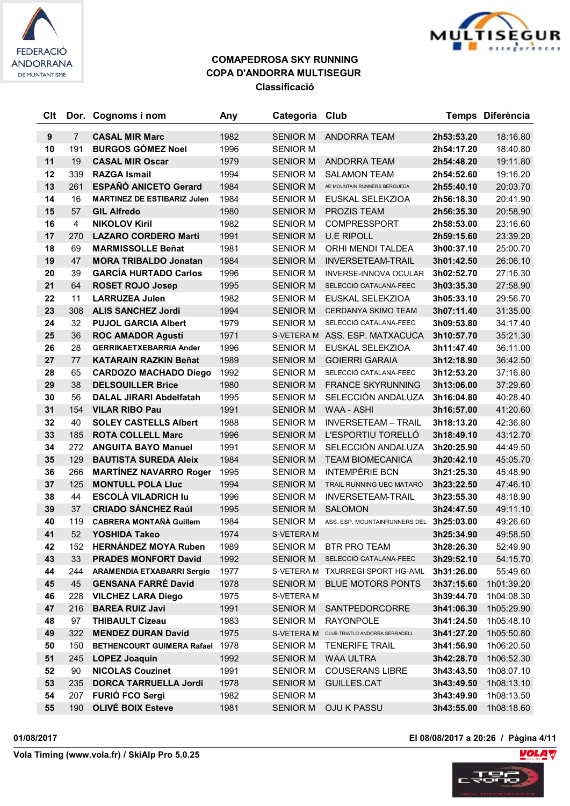



| Clt |                | Dor. Cognoms i nom                 | Any  | Categoria       | Club                                      |            | Temps Diferència |
|-----|----------------|------------------------------------|------|-----------------|-------------------------------------------|------------|------------------|
| 9   | $\overline{7}$ | <b>CASAL MIR Marc</b>              | 1982 | <b>SENIOR M</b> | ANDORRA TEAM                              | 2h53:53.20 | 18:16.80         |
| 10  | 191            | <b>BURGOS GÓMEZ Noel</b>           | 1996 | <b>SENIOR M</b> |                                           | 2h54:17.20 | 18:40.80         |
| 11  | 19             | <b>CASAL MIR Oscar</b>             | 1979 | <b>SENIOR M</b> | <b>ANDORRA TEAM</b>                       | 2h54:48.20 | 19:11.80         |
| 12  | 339            | <b>RAZGA Ismail</b>                | 1994 | <b>SENIOR M</b> | <b>SALAMON TEAM</b>                       | 2h54:52.60 | 19:16.20         |
| 13  | 261            | <b>ESPAÑÓ ANICETO Gerard</b>       | 1984 | <b>SENIOR M</b> | AE MOUNTAIN RUNNERS BERGUEDA              | 2h55:40.10 | 20:03.70         |
| 14  | 16             | <b>MARTINEZ DE ESTIBARIZ Julen</b> | 1984 | <b>SENIOR M</b> | EUSKAL SELEKZIOA                          | 2h56:18.30 | 20:41.90         |
| 15  | 57             | <b>GIL Alfredo</b>                 | 1980 | <b>SENIOR M</b> | <b>PROZIS TEAM</b>                        | 2h56:35.30 | 20:58.90         |
| 16  | $\overline{4}$ | <b>NIKOLOV Kiril</b>               | 1982 | <b>SENIOR M</b> | <b>COMPRESSPORT</b>                       | 2h58:53.00 | 23:16.60         |
| 17  | 270            | <b>LAZARO CORDERO Marti</b>        | 1991 | <b>SENIOR M</b> | <b>U.E RIPOLL</b>                         | 2h59:15.60 | 23:39.20         |
| 18  | 69             | <b>MARMISSOLLE Beñat</b>           | 1981 | <b>SENIOR M</b> | ORHI MENDI TALDEA                         | 3h00:37.10 | 25:00.70         |
| 19  | 47             | <b>MORA TRIBALDO Jonatan</b>       | 1984 | <b>SENIOR M</b> | <b>INVERSETEAM-TRAIL</b>                  | 3h01:42.50 | 26:06.10         |
| 20  | 39             | <b>GARCÍA HURTADO Carlos</b>       | 1996 | <b>SENIOR M</b> | <b>INVERSE-INNOVA OCULAR</b>              | 3h02:52.70 | 27:16.30         |
| 21  | 64             | <b>ROSET ROJO Josep</b>            | 1995 | <b>SENIOR M</b> | SELECCIÓ CATALANA-FEEC                    | 3h03:35.30 | 27:58.90         |
| 22  | 11             | <b>LARRUZEA Julen</b>              | 1982 | <b>SENIOR M</b> | EUSKAL SELEKZIOA                          | 3h05:33.10 | 29:56.70         |
| 23  | 308            | <b>ALIS SANCHEZ Jordi</b>          | 1994 | <b>SENIOR M</b> | <b>CERDANYA SKIMO TEAM</b>                | 3h07:11.40 | 31:35.00         |
| 24  | 32             | <b>PUJOL GARCIA Albert</b>         | 1979 | <b>SENIOR M</b> | SELECCIÓ CATALANA-FEEC                    | 3h09:53.80 | 34:17.40         |
| 25  | 36             | <b>ROC AMADOR Agustí</b>           | 1971 |                 | S-VETERA M ASS. ESP. MATXACUCA            | 3h10:57.70 | 35:21.30         |
| 26  | 28             | <b>GERRIKAETXEBARRIA Ander</b>     | 1996 | <b>SENIOR M</b> | EUSKAL SELEKZIOA                          | 3h11:47.40 | 36:11.00         |
| 27  | 77             | <b>KATARAIN RAZKIN Beñat</b>       | 1989 | <b>SENIOR M</b> | <b>GOIERRI GARAIA</b>                     | 3h12:18.90 | 36:42.50         |
| 28  | 65             | <b>CARDOZO MACHADO Diego</b>       | 1992 | <b>SENIOR M</b> | SELECCIÓ CATALANA-FEEC                    | 3h12:53.20 | 37:16.80         |
| 29  | 38             | <b>DELSOUILLER Brice</b>           | 1980 | <b>SENIOR M</b> | <b>FRANCE SKYRUNNING</b>                  | 3h13:06.00 | 37:29.60         |
| 30  | 56             | <b>DALAL JIRARI Abdelfatah</b>     | 1995 | <b>SENIOR M</b> | SELECCIÓN ANDALUZA                        | 3h16:04.80 | 40:28.40         |
| 31  | 154            | <b>VILAR RIBO Pau</b>              | 1991 | <b>SENIOR M</b> | <b>WAA - ASHI</b>                         | 3h16:57.00 | 41:20.60         |
| 32  | 40             | <b>SOLEY CASTELLS Albert</b>       | 1988 | <b>SENIOR M</b> | <b>INVERSETEAM - TRAIL</b>                | 3h18:13.20 | 42:36.80         |
| 33  | 185            | <b>ROTA COLLELL Marc</b>           | 1996 | <b>SENIOR M</b> | L'ESPORTIU TORELLÓ                        | 3h18:49.10 | 43:12.70         |
| 34  | 272            | <b>ANGUITA BAYO Manuel</b>         | 1991 | <b>SENIOR M</b> | SELECCIÓN ANDALUZA                        | 3h20:25.90 | 44:49.50         |
| 35  | 129            | <b>BAUTISTA SUREDA Aleix</b>       | 1984 | <b>SENIOR M</b> | <b>TEAM BIOMECANICA</b>                   | 3h20:42.10 | 45:05.70         |
| 36  | 266            | <b>MARTÍNEZ NAVARRO Roger</b>      | 1995 | <b>SENIOR M</b> | <b>INTEMPÈRIE BCN</b>                     | 3h21:25.30 | 45:48.90         |
| 37  | 125            | <b>MONTULL POLA Lluc</b>           | 1994 | <b>SENIOR M</b> | TRAIL RUNNING UEC MATARÓ                  | 3h23:22.50 | 47:46.10         |
| 38  | 44             | <b>ESCOLÀ VILADRICH lu</b>         | 1996 | <b>SENIOR M</b> | <b>INVERSETEAM-TRAIL</b>                  | 3h23:55.30 | 48:18.90         |
| 39  | 37             | <b>CRIADO SÁNCHEZ Raúl</b>         | 1995 | <b>SENIOR M</b> | <b>SALOMON</b>                            | 3h24:47.50 | 49:11.10         |
| 40  | 119            | <b>CABRERA MONTAÑÀ Guillem</b>     | 1984 | <b>SENIOR M</b> | ASS. ESP. MOUNTAINRUNNERS DEL             | 3h25:03.00 | 49:26.60         |
| 41  | 52             | YOSHIDA Takeo                      | 1974 | S-VETERA M      |                                           | 3h25:34.90 | 49:58.50         |
| 42  | 152            | <b>HERNANDEZ MOYA Ruben</b>        | 1989 | <b>SENIOR M</b> | <b>BTR PRO TEAM</b>                       | 3h28:26.30 | 52:49.90         |
| 43  | 33             | <b>PRADES MONFORT David</b>        | 1992 | <b>SENIOR M</b> | SELECCIÓ CATALANA-FEEC                    | 3h29:52.10 | 54:15.70         |
| 44  | 244            | <b>ARAMENDIA ETXABARRI Sergio</b>  | 1977 |                 | S-VETERA M TXURREGI SPORT HG-AML          | 3h31:26.00 | 55:49.60         |
| 45  | 45             | <b>GENSANA FARRÉ David</b>         | 1978 | SENIOR M        | <b>BLUE MOTORS PONTS</b>                  | 3h37:15.60 | 1h01:39.20       |
| 46  | 228            | <b>VILCHEZ LARA Diego</b>          | 1975 | S-VETERA M      |                                           | 3h39:44.70 | 1h04:08.30       |
| 47  | 216            | <b>BAREA RUIZ Javi</b>             | 1991 | <b>SENIOR M</b> | SANTPEDORCORRE                            | 3h41:06.30 | 1h05:29.90       |
| 48  | 97             | <b>THIBAULT Cizeau</b>             | 1983 | <b>SENIOR M</b> | <b>RAYONPOLE</b>                          | 3h41:24.50 | 1h05:48.10       |
| 49  | 322            | <b>MENDEZ DURAN David</b>          | 1975 |                 | S-VETERA M CLUB TRIATLO ANDORRA SERRADELL | 3h41:27.20 | 1h05:50.80       |
| 50  | 150            | BETHENCOURT GUIMERA Rafael         | 1978 | <b>SENIOR M</b> | <b>TENERIFE TRAIL</b>                     | 3h41:56.90 | 1h06:20.50       |
| 51  | 245            | <b>LOPEZ Joaquin</b>               | 1992 | <b>SENIOR M</b> | WAA ULTRA                                 | 3h42:28.70 | 1h06:52.30       |
| 52  | 90             | <b>NICOLAS Couzinet</b>            | 1991 | <b>SENIOR M</b> | <b>COUSERANS LIBRE</b>                    | 3h43:43.50 | 1h08:07.10       |
| 53  | 235            | <b>DORCA TARRUELLA Jordi</b>       | 1978 | <b>SENIOR M</b> | GUILLES.CAT                               | 3h43:49.50 | 1h08:13.10       |
| 54  | 207            | <b>FURIÓ FCO Sergi</b>             | 1982 | <b>SENIOR M</b> |                                           | 3h43:49.90 | 1h08:13.50       |
| 55  | 190            | <b>OLIVÉ BOIX Esteve</b>           | 1981 | SENIOR M        | <b>OJU K PASSU</b>                        | 3h43:55.00 | 1h08:18.60       |

**01/08/2017 El 08/08/2017 a 20:26 / Pàgina 4/11**

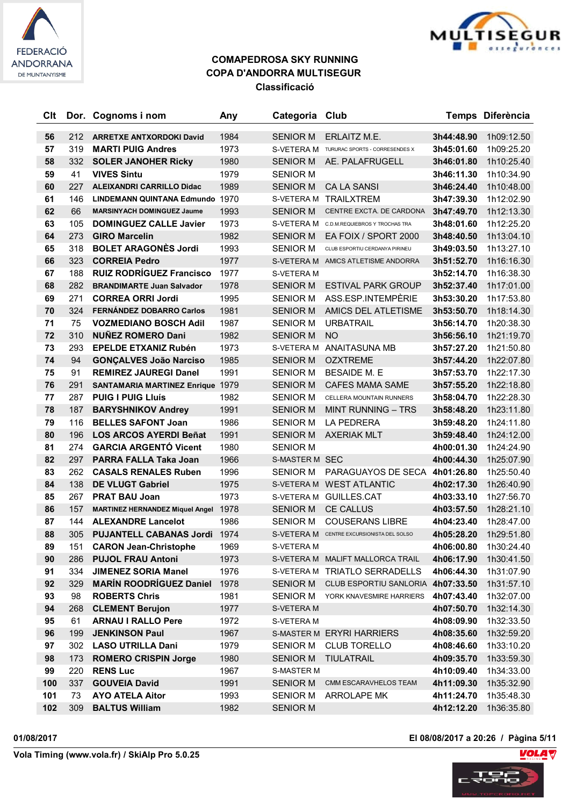



| Clt      |            | Dor. Cognoms i nom                                          | Any          | Categoria Club        |                                                                     |                          | Temps Diferència         |
|----------|------------|-------------------------------------------------------------|--------------|-----------------------|---------------------------------------------------------------------|--------------------------|--------------------------|
| 56       | 212        | <b>ARRETXE ANTXORDOKI David</b>                             | 1984         | <b>SENIOR M</b>       | ERLAITZ M.E.                                                        | 3h44:48.90               | 1h09:12.50               |
| 57       | 319        | <b>MARTI PUIG Andres</b>                                    | 1973         |                       | S-VETERA M TURURAC SPORTS - CORRESENDES X                           | 3h45:01.60               | 1h09:25.20               |
| 58       | 332        | <b>SOLER JANOHER Ricky</b>                                  | 1980         | <b>SENIOR M</b>       | AE. PALAFRUGELL                                                     | 3h46:01.80               | 1h10:25.40               |
| 59       | 41         | <b>VIVES Sintu</b>                                          | 1979         | <b>SENIOR M</b>       |                                                                     | 3h46:11.30               | 1h10:34.90               |
| 60       | 227        | <b>ALEIXANDRI CARRILLO Didac</b>                            | 1989         | <b>SENIOR M</b>       | <b>CA LA SANSI</b>                                                  | 3h46:24.40               | 1h10:48.00               |
| 61       | 146        | LINDEMANN QUINTANA Edmundo 1970                             |              |                       | S-VETERA M TRAILXTREM                                               | 3h47:39.30               | 1h12:02.90               |
| 62       | 66         | <b>MARSINYACH DOMINGUEZ Jaume</b>                           | 1993         | <b>SENIOR M</b>       | CENTRE EXCTA. DE CARDONA                                            | 3h47:49.70               | 1h12:13.30               |
| 63       | 105        | <b>DOMINGUEZ CALLE Javier</b>                               | 1973         |                       | S-VETERA M C.D.M.REQUIEBROS Y TROCHAS TRA                           | 3h48:01.60               | 1h12:25.20               |
| 64       | 273        | <b>GIRO Marcelin</b>                                        | 1982         | <b>SENIOR M</b>       | EA FOIX / SPORT 2000                                                | 3h48:40.50               | 1h13:04.10               |
| 65       | 318        | <b>BOLET ARAGONÈS Jordi</b>                                 | 1993         | <b>SENIOR M</b>       | CLUB ESPORTIU CERDANYA PIRINEU                                      | 3h49:03.50               | 1h13:27.10               |
| 66       | 323        | <b>CORREIA Pedro</b>                                        | 1977         |                       | S-VETERA M AMICS ATLETISME ANDORRA                                  | 3h51:52.70               | 1h16:16.30               |
| 67       | 188        | <b>RUIZ RODRÍGUEZ Francisco</b>                             | 1977         | S-VETERA M            |                                                                     | 3h52:14.70               | 1h16:38.30               |
| 68       | 282        | <b>BRANDIMARTE Juan Salvador</b>                            | 1978         | <b>SENIOR M</b>       | <b>ESTIVAL PARK GROUP</b>                                           | 3h52:37.40               | 1h17:01.00               |
| 69       | 271        | <b>CORREA ORRI Jordi</b>                                    | 1995         | <b>SENIOR M</b>       | ASS.ESP.INTEMPÈRIE                                                  | 3h53:30.20               | 1h17:53.80               |
| 70       | 324        | <b>FERNÁNDEZ DOBARRO Carlos</b>                             | 1981         | <b>SENIOR M</b>       | AMICS DEL ATLETISME                                                 | 3h53:50.70               | 1h18:14.30               |
| 71       | 75         | <b>VOZMEDIANO BOSCH Adil</b>                                | 1987         | <b>SENIOR M</b>       | <b>URBATRAIL</b>                                                    | 3h56:14.70               | 1h20:38.30               |
| 72       | 310        | <b>NUÑEZ ROMERO Dani</b>                                    | 1982         | <b>SENIOR M</b>       | <b>NO</b>                                                           | 3h56:56.10               | 1h21:19.70               |
| 73       | 293        | <b>EPELDE ETXANIZ Rubén</b>                                 | 1973         |                       | S-VETERA M ANAITASUNA MB                                            | 3h57:27.20               | 1h21:50.80               |
| 74       | 94         | <b>GONÇALVES João Narciso</b>                               | 1985         | <b>SENIOR M</b>       | <b>OZXTREME</b>                                                     | 3h57:44.20               | 1h22:07.80               |
| 75       | 91         | <b>REMIREZ JAUREGI Danel</b>                                | 1991         | <b>SENIOR M</b>       | <b>BESAIDE M. E</b>                                                 | 3h57:53.70               | 1h22:17.30               |
| 76       | 291        | <b>SANTAMARIA MARTINEZ Enrique 1979</b>                     |              | <b>SENIOR M</b>       | <b>CAFES MAMA SAME</b>                                              | 3h57:55.20               | 1h22:18.80               |
| 77       | 287        | <b>PUIG I PUIG LIUÍS</b>                                    | 1982         | <b>SENIOR M</b>       | CELLERA MOUNTAIN RUNNERS                                            | 3h58:04.70               | 1h22:28.30               |
| 78       | 187        | <b>BARYSHNIKOV Andrey</b>                                   | 1991         | <b>SENIOR M</b>       | <b>MINT RUNNING - TRS</b>                                           | 3h58:48.20               | 1h23:11.80               |
| 79       | 116        | <b>BELLES SAFONT Joan</b>                                   | 1986         | <b>SENIOR M</b>       | <b>LA PEDRERA</b>                                                   | 3h59:48.20               | 1h24:11.80               |
| 80       | 196        | <b>LOS ARCOS AYERDI Beñat</b>                               | 1991         | <b>SENIOR M</b>       | <b>AXERIAK MLT</b>                                                  | 3h59:48.40               | 1h24:12.00               |
| 81       | 274        | <b>GARCIA ARGENTÓ Vicent</b>                                | 1980         | <b>SENIOR M</b>       |                                                                     | 4h00:01.30               | 1h24:24.90               |
| 82       | 297        | PARRA FALLA Taka Joan                                       | 1966         | <b>S-MASTER M SEC</b> |                                                                     | 4h00:44.30               | 1h25:07.90               |
| 83       | 262        | <b>CASALS RENALES Ruben</b>                                 | 1996         | <b>SENIOR M</b>       | PARAGUAYOS DE SECA 4h01:26.80                                       |                          | 1h25:50.40               |
| 84       | 138        | <b>DE VLUGT Gabriel</b>                                     | 1975         |                       | S-VETERA M WEST ATLANTIC                                            | 4h02:17.30               | 1h26:40.90               |
| 85       | 267        | <b>PRAT BAU Joan</b>                                        | 1973         |                       | S-VETERA M GUILLES.CAT                                              | 4h03:33.10               | 1h27:56.70               |
| 86       | 157        | <b>MARTINEZ HERNANDEZ Miquel Angel</b>                      | 1978         | <b>SENIOR M</b>       | <b>CE CALLUS</b>                                                    | 4h03:57.50               | 1h28:21.10               |
| 87<br>88 | 144<br>305 | <b>ALEXANDRE Lancelot</b><br><b>PUJANTELL CABANAS Jordi</b> | 1986<br>1974 | <b>SENIOR M</b>       | <b>COUSERANS LIBRE</b><br>S-VETERA M CENTRE EXCURSIONISTA DEL SOLSO | 4h04:23.40<br>4h05:28.20 | 1h28:47.00<br>1h29:51.80 |
| 89       | 151        | <b>CARON Jean-Christophe</b>                                | 1969         | S-VETERA M            |                                                                     | 4h06:00.80               | 1h30:24.40               |
| 90       | 286        | <b>PUJOL FRAU Antoni</b>                                    | 1973         |                       | S-VETERA M MALIFT MALLORCA TRAIL                                    | 4h06:17.90               | 1h30:41.50               |
| 91       | 334        | <b>JIMENEZ SORIA Manel</b>                                  | 1976         |                       | S-VETERA M TRIATLO SERRADELLS                                       | 4h06:44.30               | 1h31:07.90               |
| 92       | 329        | <b>MARÍN ROODRÍGUEZ Daniel</b>                              | 1978         | <b>SENIOR M</b>       | CLUB ESPORTIU SANLORIA 4h07:33.50                                   |                          | 1h31:57.10               |
| 93       | 98         | <b>ROBERTS Chris</b>                                        | 1981         | <b>SENIOR M</b>       | YORK KNAVESMIRE HARRIERS                                            | 4h07:43.40               | 1h32:07.00               |
| 94       | 268        | <b>CLEMENT Berujon</b>                                      | 1977         | S-VETERA M            |                                                                     | 4h07:50.70               | 1h32:14.30               |
| 95       | 61         | <b>ARNAU I RALLO Pere</b>                                   | 1972         | S-VETERA M            |                                                                     | 4h08:09.90               | 1h32:33.50               |
| 96       | 199        | <b>JENKINSON Paul</b>                                       | 1967         |                       | S-MASTER M ERYRI HARRIERS                                           | 4h08:35.60               | 1h32:59.20               |
| 97       | 302        | <b>LASO UTRILLA Dani</b>                                    | 1979         | <b>SENIOR M</b>       | <b>CLUB TORELLO</b>                                                 | 4h08:46.60               | 1h33:10.20               |
| 98       | 173        | <b>ROMERO CRISPIN Jorge</b>                                 | 1980         | <b>SENIOR M</b>       | TIULATRAIL                                                          | 4h09:35.70               | 1h33:59.30               |
| 99       | 220        | <b>RENS Luc</b>                                             | 1967         | <b>S-MASTER M</b>     |                                                                     | 4h10:09.40               | 1h34:33.00               |
| 100      | 337        | <b>GOUVEIA David</b>                                        | 1991         | <b>SENIOR M</b>       | CMM ESCARAVHELOS TEAM                                               | 4h11:09.30               | 1h35:32.90               |
| 101      | 73         | <b>AYO ATELA Aitor</b>                                      | 1993         | <b>SENIOR M</b>       | ARROLAPE MK                                                         | 4h11:24.70               | 1h35:48.30               |
| 102      | 309        | <b>BALTUS William</b>                                       | 1982         | <b>SENIOR M</b>       |                                                                     | 4h12:12.20               | 1h36:35.80               |

**01/08/2017 El 08/08/2017 a 20:26 / Pàgina 5/11**

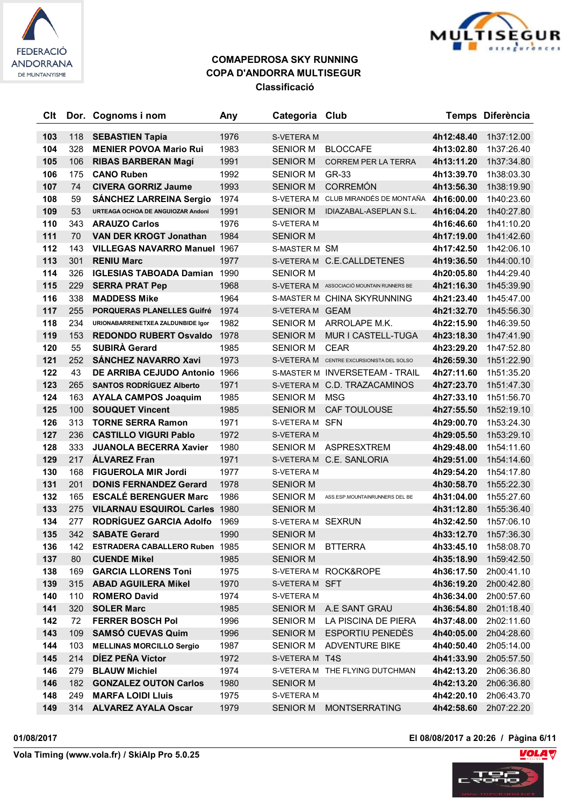



| Clt |     | Dor. Cognoms i nom                  | Any  | Categoria Club    |                                           |            | Temps Diferència |
|-----|-----|-------------------------------------|------|-------------------|-------------------------------------------|------------|------------------|
| 103 | 118 | <b>SEBASTIEN Tapia</b>              | 1976 | S-VETERA M        |                                           | 4h12:48.40 | 1h37:12.00       |
| 104 | 328 | <b>MENIER POVOA Mario Rui</b>       | 1983 | <b>SENIOR M</b>   | <b>BLOCCAFE</b>                           | 4h13:02.80 | 1h37:26.40       |
| 105 | 106 | <b>RIBAS BARBERAN Magí</b>          | 1991 | <b>SENIOR M</b>   | <b>CORREM PER LA TERRA</b>                | 4h13:11.20 | 1h37:34.80       |
| 106 | 175 | <b>CANO Ruben</b>                   | 1992 | <b>SENIOR M</b>   | GR-33                                     | 4h13:39.70 | 1h38:03.30       |
| 107 | 74  | <b>CIVERA GORRIZ Jaume</b>          | 1993 | <b>SENIOR M</b>   | <b>CORREMÓN</b>                           | 4h13:56.30 | 1h38:19.90       |
| 108 | 59  | <b>SÁNCHEZ LARREINA Sergio</b>      | 1974 |                   | S-VETERA M CLUB MIRANDÉS DE MONTAÑA       | 4h16:00.00 | 1h40:23.60       |
| 109 | 53  | URTEAGA OCHOA DE ANGUIOZAR Andoni   | 1991 | <b>SENIOR M</b>   | <b>IDIAZABAL-ASEPLAN S.L.</b>             | 4h16:04.20 | 1h40:27.80       |
| 110 | 343 | <b>ARAUZO Carlos</b>                | 1976 | S-VETERA M        |                                           | 4h16:46.60 | 1h41:10.20       |
| 111 | 70  | <b>VAN DER KROGT Jonathan</b>       | 1984 | <b>SENIOR M</b>   |                                           | 4h17:19.00 | 1h41:42.60       |
| 112 | 143 | <b>VILLEGAS NAVARRO Manuel 1967</b> |      | S-MASTER M SM     |                                           | 4h17:42.50 | 1h42:06.10       |
| 113 | 301 | <b>RENIU Marc</b>                   | 1977 |                   | S-VETERA M C.E.CALLDETENES                | 4h19:36.50 | 1h44:00.10       |
| 114 | 326 | <b>IGLESIAS TABOADA Damian</b>      | 1990 | <b>SENIOR M</b>   |                                           | 4h20:05.80 | 1h44:29.40       |
| 115 | 229 | <b>SERRA PRAT Pep</b>               | 1968 |                   | S-VETERA M ASSOCIACIÓ MOUNTAIN RUNNERS BE | 4h21:16.30 | 1h45:39.90       |
| 116 | 338 | <b>MADDESS Mike</b>                 | 1964 |                   | S-MASTER M CHINA SKYRUNNING               | 4h21:23.40 | 1h45:47.00       |
| 117 | 255 | PORQUERAS PLANELLES Guifré          | 1974 | S-VETERA M GEAM   |                                           | 4h21:32.70 | 1h45:56.30       |
| 118 | 234 | URIONABARRENETXEA ZALDUNBIDE Igor   | 1982 | <b>SENIOR M</b>   | ARROLAPE M.K.                             | 4h22:15.90 | 1h46:39.50       |
| 119 | 153 | <b>REDONDO RUBERT Osvaldo</b>       | 1978 | <b>SENIOR M</b>   | MUR I CASTELL-TUGA                        | 4h23:18.30 | 1h47:41.90       |
| 120 | 55  | <b>SUBIRA Gerard</b>                | 1985 | <b>SENIOR M</b>   | <b>CEAR</b>                               | 4h23:29.20 | 1h47:52.80       |
| 121 | 252 | <b>SÁNCHEZ NAVARRO Xavi</b>         | 1973 |                   | S-VETERA M CENTRE EXCURSIONISTA DEL SOLSO | 4h26:59.30 | 1h51:22.90       |
| 122 | 43  | DE ARRIBA CEJUDO Antonio 1966       |      |                   | S-MASTER M INVERSETEAM - TRAIL            | 4h27:11.60 | 1h51:35.20       |
| 123 | 265 | <b>SANTOS RODRÍGUEZ Alberto</b>     | 1971 |                   | S-VETERA M C.D. TRAZACAMINOS              | 4h27:23.70 | 1h51:47.30       |
| 124 | 163 | <b>AYALA CAMPOS Joaquim</b>         | 1985 | <b>SENIOR M</b>   | <b>MSG</b>                                | 4h27:33.10 | 1h51:56.70       |
| 125 | 100 | <b>SOUQUET Vincent</b>              | 1985 | <b>SENIOR M</b>   | CAF TOULOUSE                              | 4h27:55.50 | 1h52:19.10       |
| 126 | 313 | <b>TORNE SERRA Ramon</b>            | 1971 | S-VETERA M SFN    |                                           | 4h29:00.70 | 1h53:24.30       |
| 127 | 236 | <b>CASTILLO VIGURI Pablo</b>        | 1972 | S-VETERA M        |                                           | 4h29:05.50 | 1h53:29.10       |
| 128 | 333 | <b>JUANOLA BECERRA Xavier</b>       | 1980 | <b>SENIOR M</b>   | <b>ASPRESXTREM</b>                        | 4h29:48.00 | 1h54:11.60       |
| 129 | 217 | <b>ÁLVAREZ Fran</b>                 | 1971 |                   | S-VETERA M C.E. SANLORIA                  | 4h29:51.00 | 1h54:14.60       |
| 130 | 168 | <b>FIGUEROLA MIR Jordi</b>          | 1977 | S-VETERA M        |                                           | 4h29:54.20 | 1h54:17.80       |
| 131 | 201 | <b>DONIS FERNANDEZ Gerard</b>       | 1978 | <b>SENIOR M</b>   |                                           | 4h30:58.70 | 1h55:22.30       |
| 132 | 165 | <b>ESCALÉ BERENGUER Marc</b>        | 1986 | <b>SENIOR M</b>   | ASS.ESP.MOUNTAINRUNNERS DEL BE            | 4h31:04.00 | 1h55:27.60       |
| 133 | 275 | <b>VILARNAU ESQUIROL Carles</b>     | 1980 | <b>SENIOR M</b>   |                                           | 4h31:12.80 | 1h55:36.40       |
| 134 | 277 | RODRÍGUEZ GARCIA Adolfo             | 1969 | S-VETERA M SEXRUN |                                           | 4h32:42.50 | 1h57:06.10       |
| 135 | 342 | <b>SABATE Gerard</b>                | 1990 | <b>SENIOR M</b>   |                                           | 4h33:12.70 | 1h57:36.30       |
| 136 |     | 142 ESTRADERA CABALLERO Ruben 1985  |      | SENIOR M BTTERRA  |                                           | 4h33:45.10 | 1h58:08.70       |
| 137 | 80  | <b>CUENDE Mikel</b>                 | 1985 | <b>SENIOR M</b>   |                                           | 4h35:18.90 | 1h59:42.50       |
| 138 | 169 | <b>GARCIA LLORENS Toni</b>          | 1975 |                   | S-VETERA M ROCK&ROPE                      | 4h36:17.50 | 2h00:41.10       |
| 139 | 315 | <b>ABAD AGUILERA Mikel</b>          | 1970 | S-VETERA M SFT    |                                           | 4h36:19.20 | 2h00:42.80       |
| 140 | 110 | <b>ROMERO David</b>                 | 1974 | S-VETERA M        |                                           | 4h36:34.00 | 2h00:57.60       |
| 141 | 320 | <b>SOLER Marc</b>                   | 1985 |                   | SENIOR M A.E SANT GRAU                    | 4h36:54.80 | 2h01:18.40       |
| 142 | 72  | <b>FERRER BOSCH Pol</b>             | 1996 | SENIOR M          | LA PISCINA DE PIERA                       | 4h37:48.00 | 2h02:11.60       |
| 143 | 109 | <b>SAMSÓ CUEVAS Quim</b>            | 1996 |                   | SENIOR M ESPORTIU PENEDÈS                 | 4h40:05.00 | 2h04:28.60       |
| 144 | 103 | <b>MELLINAS MORCILLO Sergio</b>     | 1987 | <b>SENIOR M</b>   | ADVENTURE BIKE                            | 4h40:50.40 | 2h05:14.00       |
| 145 | 214 | DIEZ PEÑA Víctor                    | 1972 | S-VETERA M T4S    |                                           | 4h41:33.90 | 2h05:57.50       |
| 146 | 279 | <b>BLAUW Michiel</b>                | 1974 |                   | S-VETERA M THE FLYING DUTCHMAN            | 4h42:13.20 | 2h06:36.80       |
| 146 | 182 | <b>GONZALEZ OUTON Carlos</b>        | 1980 | <b>SENIOR M</b>   |                                           | 4h42:13.20 | 2h06:36.80       |
| 148 | 249 | <b>MARFA LOIDI Lluis</b>            | 1975 | S-VETERA M        |                                           | 4h42:20.10 | 2h06:43.70       |
| 149 |     | 314 ALVAREZ AYALA Oscar             | 1979 | <b>SENIOR M</b>   | <b>MONTSERRATING</b>                      | 4h42:58.60 | 2h07:22.20       |

**01/08/2017 El 08/08/2017 a 20:26 / Pàgina 6/11**

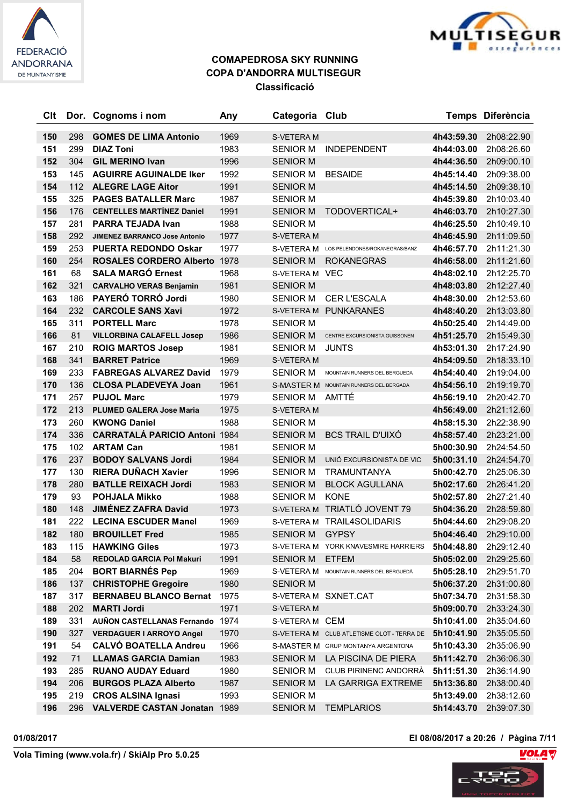



| Clt        |            | Dor. Cognoms i nom                                           | Any          | Categoria Club                     |                                           |                          | Temps Diferència         |
|------------|------------|--------------------------------------------------------------|--------------|------------------------------------|-------------------------------------------|--------------------------|--------------------------|
|            |            |                                                              |              |                                    |                                           |                          |                          |
| 150        | 298        | <b>GOMES DE LIMA Antonio</b>                                 | 1969         | S-VETERA M                         |                                           | 4h43:59.30               | 2h08:22.90               |
| 151        | 299<br>304 | <b>DIAZ Toni</b>                                             | 1983         | <b>SENIOR M</b>                    | <b>INDEPENDENT</b>                        | 4h44:03.00               | 2h08:26.60               |
| 152        |            | <b>GIL MERINO Ivan</b>                                       | 1996         | <b>SENIOR M</b>                    |                                           | 4h44:36.50               | 2h09:00.10               |
| 153        | 145        | <b>AGUIRRE AGUINALDE Iker</b>                                | 1992         | <b>SENIOR M</b>                    | <b>BESAIDE</b>                            | 4h45:14.40               | 2h09:38.00               |
| 154        | 112        | <b>ALEGRE LAGE Aitor</b>                                     | 1991         | <b>SENIOR M</b>                    |                                           | 4h45:14.50               | 2h09:38.10               |
| 155        | 325        | <b>PAGES BATALLER Marc</b>                                   | 1987         | <b>SENIOR M</b>                    |                                           | 4h45:39.80               | 2h10:03.40               |
| 156        | 176        | <b>CENTELLES MARTÍNEZ Daniel</b><br><b>PARRA TEJADA Ivan</b> | 1991         | <b>SENIOR M</b>                    | TODOVERTICAL+                             | 4h46:03.70               | 2h10:27.30               |
| 157<br>158 | 281<br>292 |                                                              | 1988<br>1977 | <b>SENIOR M</b>                    |                                           | 4h46:25.50               | 2h10:49.10<br>2h11:09.50 |
|            |            | JIMENEZ BARRANCO Jose Antonio<br><b>PUERTA REDONDO Oskar</b> |              | S-VETERA M                         |                                           | 4h46:45.90               |                          |
| 159<br>160 | 253<br>254 |                                                              | 1977         |                                    | S-VETERA M LOS PELENDONES/ROKANEGRAS/BANZ | 4h46:57.70               | 2h11:21.30               |
| 161        | 68         | <b>ROSALES CORDERO Alberto</b><br><b>SALA MARGÓ Ernest</b>   | 1978<br>1968 | <b>SENIOR M</b><br>S-VETERA M VEC  | <b>ROKANEGRAS</b>                         | 4h46:58.00               | 2h11:21.60<br>2h12:25.70 |
| 162        |            |                                                              |              |                                    |                                           | 4h48:02.10               |                          |
| 163        | 321<br>186 | <b>CARVALHO VERAS Benjamin</b><br>PAYERÓ TORRÓ Jordi         | 1981<br>1980 | <b>SENIOR M</b><br><b>SENIOR M</b> | <b>CER L'ESCALA</b>                       | 4h48:03.80<br>4h48:30.00 | 2h12:27.40<br>2h12:53.60 |
| 164        | 232        | <b>CARCOLE SANS Xavi</b>                                     | 1972         |                                    | S-VETERA M PUNKARANES                     |                          |                          |
| 165        | 311        | <b>PORTELL Marc</b>                                          | 1978         | <b>SENIOR M</b>                    |                                           | 4h48:40.20<br>4h50:25.40 | 2h13:03.80<br>2h14:49.00 |
| 166        | 81         | <b>VILLORBINA CALAFELL Josep</b>                             | 1986         | <b>SENIOR M</b>                    | CENTRE EXCURSIONISTA GUISSONEN            | 4h51:25.70               | 2h15:49.30               |
| 167        | 210        | <b>ROIG MARTOS Josep</b>                                     | 1981         | <b>SENIOR M</b>                    | <b>JUNTS</b>                              | 4h53:01.30               | 2h17:24.90               |
| 168        | 341        | <b>BARRET Patrice</b>                                        | 1969         | S-VETERA M                         |                                           | 4h54:09.50               | 2h18:33.10               |
| 169        | 233        | <b>FABREGAS ALVAREZ David</b>                                | 1979         | <b>SENIOR M</b>                    | MOUNTAIN RUNNERS DEL BERGUEDA             | 4h54:40.40               | 2h19:04.00               |
| 170        | 136        | <b>CLOSA PLADEVEYA Joan</b>                                  | 1961         |                                    | S-MASTER M MOUNTAIN RUNNERS DEL BERGADA   | 4h54:56.10               | 2h19:19.70               |
| 171        | 257        | <b>PUJOL Marc</b>                                            | 1979         | SENIOR M AMTTÉ                     |                                           | 4h56:19.10               | 2h20:42.70               |
| 172        | 213        | <b>PLUMED GALERA Jose Maria</b>                              | 1975         | S-VETERA M                         |                                           | 4h56:49.00               | 2h21:12.60               |
| 173        | 260        | <b>KWONG Daniel</b>                                          | 1988         | <b>SENIOR M</b>                    |                                           | 4h58:15.30               | 2h22:38.90               |
| 174        | 336        | <b>CARRATALÁ PARICIO Antoni 1984</b>                         |              | <b>SENIOR M</b>                    | <b>BCS TRAIL D'UIXÓ</b>                   | 4h58:57.40               | 2h23:21.00               |
| 175        | 102        | <b>ARTAM Can</b>                                             | 1981         | <b>SENIOR M</b>                    |                                           | 5h00:30.90               | 2h24:54.50               |
| 176        | 237        | <b>BODOY SALVANS Jordi</b>                                   | 1984         | <b>SENIOR M</b>                    | UNIÓ EXCURSIONISTA DE VIC                 | 5h00:31.10               | 2h24:54.70               |
| 177        | 130        | <b>RIERA DUÑACH Xavier</b>                                   | 1996         | <b>SENIOR M</b>                    | <b>TRAMUNTANYA</b>                        | 5h00:42.70               | 2h25:06.30               |
| 178        | 280        | <b>BATLLE REIXACH Jordi</b>                                  | 1983         | <b>SENIOR M</b>                    | <b>BLOCK AGULLANA</b>                     | 5h02:17.60               | 2h26:41.20               |
| 179        | 93         | <b>POHJALA Mikko</b>                                         | 1988         | <b>SENIOR M</b>                    | <b>KONE</b>                               | 5h02:57.80               | 2h27:21.40               |
| 180        | 148        | <b>JIMÉNEZ ZAFRA David</b>                                   | 1973         |                                    | S-VETERA M TRIATLÓ JOVENT 79              | 5h04:36.20               | 2h28:59.80               |
| 181        | 222        | <b>LECINA ESCUDER Manel</b>                                  | 1969         |                                    | S-VETERA M TRAIL4SOLIDARIS                | 5h04:44.60               | 2h29:08.20               |
| 182        | 180        | <b>BROUILLET Fred</b>                                        | 1985         | <b>SENIOR M</b>                    | <b>GYPSY</b>                              | 5h04:46.40               | 2h29:10.00               |
| 183        | 115        | <b>HAWKING Giles</b>                                         | 1973         |                                    | S-VETERA M YORK KNAVESMIRE HARRIERS       | 5h04:48.80               | 2h29:12.40               |
| 184        | 58         | REDOLAD GARCIA Pol Makuri                                    | 1991         | <b>SENIOR M</b>                    | <b>ETFEM</b>                              | 5h05:02.00               | 2h29:25.60               |
| 185        | 204        | <b>BORT BIARNÉS Pep</b>                                      | 1969         |                                    | S-VETERA M MOUNTAIN RUNNERS DEL BERGUEDÀ  | 5h05:28.10               | 2h29:51.70               |
| 186        | 137        | <b>CHRISTOPHE Gregoire</b>                                   | 1980         | <b>SENIOR M</b>                    |                                           | 5h06:37.20               | 2h31:00.80               |
| 187        | 317        | <b>BERNABEU BLANCO Bernat</b>                                | 1975         |                                    | S-VETERA M SXNET.CAT                      | 5h07:34.70               | 2h31:58.30               |
| 188        | 202        | <b>MARTI Jordi</b>                                           | 1971         | S-VETERA M                         |                                           | 5h09:00.70               | 2h33:24.30               |
| 189        | 331        | <b>AUÑON CASTELLANAS Fernando 1974</b>                       |              | S-VETERA M CEM                     |                                           | 5h10:41.00               | 2h35:04.60               |
| 190        | 327        | <b>VERDAGUER I ARROYO Angel</b>                              | 1970         |                                    | S-VETERA M CLUB ATLETISME OLOT - TERRA DE | 5h10:41.90               | 2h35:05.50               |
| 191        | 54         | <b>CALVÓ BOATELLA Andreu</b>                                 | 1966         |                                    | S-MASTER M GRUP MONTANYA ARGENTONA        | 5h10:43.30               | 2h35:06.90               |
| 192        | 71         | <b>LLAMAS GARCIA Damian</b>                                  | 1983         | SENIOR M                           | LA PISCINA DE PIERA                       | 5h11:42.70               | 2h36:06.30               |
| 193        | 285        | <b>RUANO AUDAY Eduard</b>                                    | 1980         | SENIOR M                           | <b>CLUB PIRINENC ANDORRÀ</b>              | 5h11:51.30               | 2h36:14.90               |
| 194        | 206        | <b>BURGOS PLAZA Alberto</b>                                  | 1987         | <b>SENIOR M</b>                    | LA GARRIGA EXTREME                        | 5h13:36.80               | 2h38:00.40               |
| 195        | 219        | <b>CROS ALSINA Ignasi</b>                                    | 1993         | SENIOR M                           |                                           | 5h13:49.00               | 2h38:12.60               |
| 196        | 296        | VALVERDE CASTAN Jonatan 1989                                 |              | <b>SENIOR M</b>                    | <b>TEMPLARIOS</b>                         | 5h14:43.70               | 2h39:07.30               |

**01/08/2017 El 08/08/2017 a 20:26 / Pàgina 7/11**

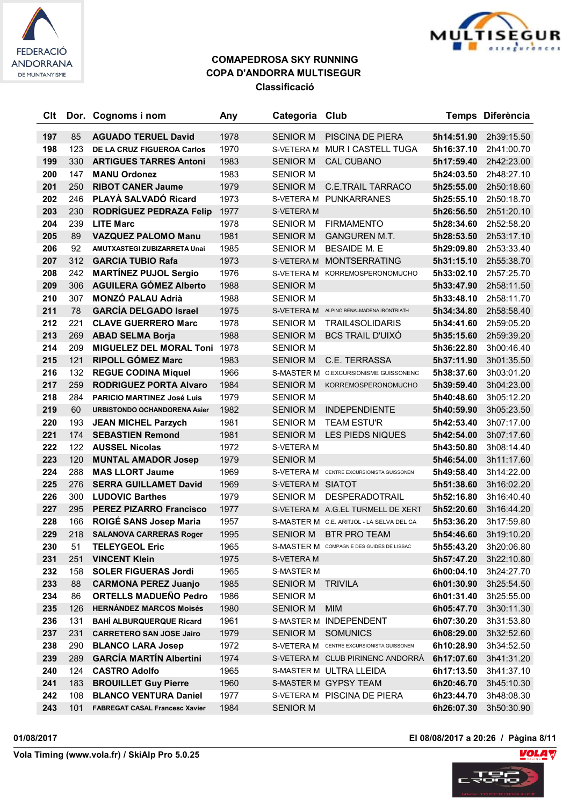



| Clt |     | Dor. Cognoms i nom                    | Any  | Categoria Club    |                                                  |            | Temps Diferència |
|-----|-----|---------------------------------------|------|-------------------|--------------------------------------------------|------------|------------------|
| 197 | 85  | <b>AGUADO TERUEL David</b>            | 1978 | <b>SENIOR M</b>   | PISCINA DE PIERA                                 | 5h14:51.90 | 2h39:15.50       |
| 198 | 123 | DE LA CRUZ FIGUEROA Carlos            | 1970 | S-VETERA M        | MUR I CASTELL TUGA                               | 5h16:37.10 | 2h41:00.70       |
| 199 | 330 | <b>ARTIGUES TARRES Antoni</b>         | 1983 | <b>SENIOR M</b>   | <b>CAL CUBANO</b>                                | 5h17:59.40 | 2h42:23.00       |
| 200 | 147 | <b>MANU Ordonez</b>                   | 1983 | <b>SENIOR M</b>   |                                                  | 5h24:03.50 | 2h48:27.10       |
| 201 | 250 | <b>RIBOT CANER Jaume</b>              | 1979 | <b>SENIOR M</b>   | <b>C.E.TRAIL TARRACO</b>                         | 5h25:55.00 | 2h50:18.60       |
| 202 | 246 | PLAYÀ SALVADÓ Ricard                  | 1973 |                   | S-VETERA M PUNKARRANES                           | 5h25:55.10 | 2h50:18.70       |
| 203 | 230 | RODRÍGUEZ PEDRAZA Felip               | 1977 | S-VETERA M        |                                                  | 5h26:56.50 | 2h51:20.10       |
| 204 | 239 | <b>LITE Marc</b>                      | 1978 | <b>SENIOR M</b>   | <b>FIRMAMENTO</b>                                | 5h28:34.60 | 2h52:58.20       |
| 205 | 89  | <b>VAZQUEZ PALOMO Manu</b>            | 1981 | <b>SENIOR M</b>   | <b>GANGUREN M.T.</b>                             | 5h28:53.50 | 2h53:17.10       |
| 206 | 92  | AMUTXASTEGI ZUBIZARRETA Unai          | 1985 | <b>SENIOR M</b>   | <b>BESAIDE M. E</b>                              | 5h29:09.80 | 2h53:33.40       |
| 207 | 312 | <b>GARCIA TUBIO Rafa</b>              | 1973 |                   | S-VETERA M MONTSERRATING                         | 5h31:15.10 | 2h55:38.70       |
| 208 | 242 | <b>MARTÍNEZ PUJOL Sergio</b>          | 1976 |                   | S-VETERA M KORREMOSPERONOMUCHO                   | 5h33:02.10 | 2h57:25.70       |
| 209 | 306 | <b>AGUILERA GÓMEZ Alberto</b>         | 1988 | <b>SENIOR M</b>   |                                                  | 5h33:47.90 | 2h58:11.50       |
| 210 | 307 | <b>MONZÓ PALAU Adrià</b>              | 1988 | <b>SENIOR M</b>   |                                                  | 5h33:48.10 | 2h58:11.70       |
| 211 | 78  | <b>GARCÍA DELGADO Israel</b>          | 1975 |                   | S-VETERA M ALPINO BENALMADENA IRONTRIATH         | 5h34:34.80 | 2h58:58.40       |
| 212 | 221 | <b>CLAVE GUERRERO Marc</b>            | 1978 | <b>SENIOR M</b>   | <b>TRAIL4SOLIDARIS</b>                           | 5h34:41.60 | 2h59:05.20       |
| 213 | 269 | <b>ABAD SELMA Borja</b>               | 1988 | <b>SENIOR M</b>   | <b>BCS TRAIL D'UIXÓ</b>                          | 5h35:15.60 | 2h59:39.20       |
| 214 | 209 | <b>MIGUELEZ DEL MORAL Toni</b>        | 1978 | <b>SENIOR M</b>   |                                                  | 5h36:22.80 | 3h00:46.40       |
| 215 | 121 | <b>RIPOLL GÓMEZ Marc</b>              | 1983 | <b>SENIOR M</b>   | C.E. TERRASSA                                    | 5h37:11.90 | 3h01:35.50       |
| 216 | 132 | <b>REGUE CODINA Miquel</b>            | 1966 |                   | S-MASTER M C.EXCURSIONISME GUISSONENC            | 5h38:37.60 | 3h03:01.20       |
| 217 | 259 | <b>RODRIGUEZ PORTA Alvaro</b>         | 1984 | <b>SENIOR M</b>   | KORREMOSPERONOMUCHO                              | 5h39:59.40 | 3h04:23.00       |
| 218 | 284 | <b>PARICIO MARTINEZ José Luis</b>     | 1979 | <b>SENIOR M</b>   |                                                  | 5h40:48.60 | 3h05:12.20       |
| 219 | 60  | <b>URBISTONDO OCHANDORENA Asier</b>   | 1982 | <b>SENIOR M</b>   | <b>INDEPENDIENTE</b>                             | 5h40:59.90 | 3h05:23.50       |
| 220 | 193 | <b>JEAN MICHEL Parzych</b>            | 1981 | <b>SENIOR M</b>   | <b>TEAM ESTU'R</b>                               | 5h42:53.40 | 3h07:17.00       |
| 221 | 174 | <b>SEBASTIEN Remond</b>               | 1981 | <b>SENIOR M</b>   | LES PIEDS NIQUES                                 | 5h42:54.00 | 3h07:17.60       |
| 222 | 122 | <b>AUSSEL Nicolas</b>                 | 1972 | S-VETERA M        |                                                  | 5h43:50.80 | 3h08:14.40       |
| 223 | 120 | <b>MUNTAL AMADOR Josep</b>            | 1979 | <b>SENIOR M</b>   |                                                  | 5h46:54.00 | 3h11:17.60       |
| 224 | 288 | <b>MAS LLORT Jaume</b>                | 1969 |                   | S-VETERA M CENTRE EXCURSIONISTA GUISSONEN        | 5h49:58.40 | 3h14:22.00       |
| 225 | 276 | <b>SERRA GUILLAMET David</b>          | 1969 | S-VETERA M SIATOT |                                                  | 5h51:38.60 | 3h16:02.20       |
| 226 | 300 | <b>LUDOVIC Barthes</b>                | 1979 | <b>SENIOR M</b>   | DESPERADOTRAIL                                   | 5h52:16.80 | 3h16:40.40       |
| 227 | 295 | <b>PEREZ PIZARRO Francisco</b>        | 1977 |                   | S-VETERA M A.G.EL TURMELL DE XERT                | 5h52:20.60 | 3h16:44.20       |
| 228 | 166 | ROIGÉ SANS Josep Maria                | 1957 |                   | S-MASTER M C.E. ARITJOL - LA SELVA DEL CA        | 5h53:36.20 | 3h17:59.80       |
| 229 | 218 | <b>SALANOVA CARRERAS Roger</b>        | 1995 | SENIOR M          | <b>BTR PRO TEAM</b>                              | 5h54:46.60 | 3h19:10.20       |
| 230 | 51  | <b>TELEYGEOL Eric</b>                 | 1965 |                   | <b>S-MASTER M</b> COMPAGNIE DES GUIDES DE LISSAC | 5h55:43.20 | 3h20:06.80       |
| 231 | 251 | <b>VINCENT Klein</b>                  | 1975 | S-VETERA M        |                                                  | 5h57:47.20 | 3h22:10.80       |
| 232 | 158 | <b>SOLER FIGUERAS Jordi</b>           | 1965 | S-MASTER M        |                                                  | 6h00:04.10 | 3h24:27.70       |
| 233 | 88  | <b>CARMONA PEREZ Juanjo</b>           | 1985 | <b>SENIOR M</b>   | TRIVILA                                          | 6h01:30.90 | 3h25:54.50       |
| 234 | 86  | <b>ORTELLS MADUEÑO Pedro</b>          | 1986 | SENIOR M          |                                                  | 6h01:31.40 | 3h25:55.00       |
| 235 | 126 | <b>HERNÁNDEZ MARCOS Moisés</b>        | 1980 | <b>SENIOR M</b>   | <b>MIM</b>                                       | 6h05:47.70 | 3h30:11.30       |
| 236 | 131 | <b>BAHÍ ALBURQUERQUE Ricard</b>       | 1961 |                   | S-MASTER M INDEPENDENT                           | 6h07:30.20 | 3h31:53.80       |
| 237 | 231 | <b>CARRETERO SAN JOSE Jairo</b>       | 1979 | SENIOR M          | <b>SOMUNICS</b>                                  | 6h08:29.00 | 3h32:52.60       |
| 238 | 290 | <b>BLANCO LARA Josep</b>              | 1972 |                   | S-VETERA M CENTRE EXCURSIONISTA GUISSONEN        | 6h10:28.90 | 3h34:52.50       |
| 239 | 289 | <b>GARCÍA MARTÍN Albertini</b>        | 1974 |                   | S-VETERA M CLUB PIRINENC ANDORRÀ                 | 6h17:07.60 | 3h41:31.20       |
| 240 | 124 | <b>CASTRO Adolfo</b>                  | 1965 |                   | S-MASTER M ULTRA LLEIDA                          | 6h17:13.50 | 3h41:37.10       |
| 241 | 183 | <b>BROUILLET Guy Pierre</b>           | 1960 |                   | S-MASTER M GYPSY TEAM                            | 6h20:46.70 | 3h45:10.30       |
| 242 | 108 | <b>BLANCO VENTURA Daniel</b>          | 1977 |                   | S-VETERA M PISCINA DE PIERA                      | 6h23:44.70 | 3h48:08.30       |
| 243 | 101 | <b>FABREGAT CASAL Francesc Xavier</b> | 1984 | <b>SENIOR M</b>   |                                                  | 6h26:07.30 | 3h50:30.90       |

**01/08/2017 El 08/08/2017 a 20:26 / Pàgina 8/11**

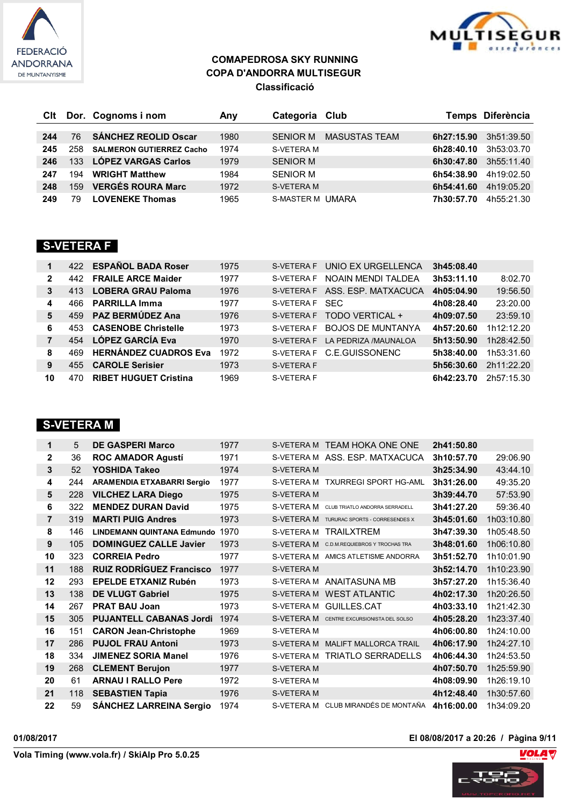



| Clt |     | Dor. Cognoms i nom              | Anv  | Categoria Club          |                      |            | Temps Diferència |
|-----|-----|---------------------------------|------|-------------------------|----------------------|------------|------------------|
|     |     |                                 |      |                         |                      |            |                  |
| 244 | 76  | <b>SÁNCHEZ REOLID Oscar</b>     | 1980 | SENIOR M                | <b>MASUSTAS TEAM</b> | 6h27:15.90 | 3h51:39.50       |
| 245 | 258 | <b>SALMERON GUTIERREZ Cacho</b> | 1974 | S-VETERA M              |                      | 6h28:40.10 | 3h53:03.70       |
| 246 |     | 133 LÓPEZ VARGAS Carlos         | 1979 | <b>SENIOR M</b>         |                      | 6h30:47.80 | 3h55:11.40       |
| 247 | 194 | <b>WRIGHT Matthew</b>           | 1984 | <b>SENIOR M</b>         |                      | 6h54:38.90 | 4h19:02.50       |
| 248 | 159 | <b>VERGÉS ROURA Marc</b>        | 1972 | <b>S-VETERA M</b>       |                      | 6h54:41.60 | 4h19:05.20       |
| 249 | 79  | <b>LOVENEKE Thomas</b>          | 1965 | <b>S-MASTER M UMARA</b> |                      | 7h30:57.70 | 4h55:21.30       |

### **S-VETERA F**

| 1            | 422 | <b>ESPAÑOL BADA Roser</b>    | 1975 | <b>S-VETERA F</b> | UNIO EX URGELLENCA       | 3h45:08.40 |            |
|--------------|-----|------------------------------|------|-------------------|--------------------------|------------|------------|
| $\mathbf{2}$ | 442 | <b>FRAILE ARCE Maider</b>    | 1977 | S-VETERA F        | NOAIN MENDI TALDEA       | 3h53:11.10 | 8:02.70    |
| 3            | 413 | <b>LOBERA GRAU Paloma</b>    | 1976 | S-VETERA F        | ASS. ESP. MATXACUCA      | 4h05:04.90 | 19:56.50   |
| 4            | 466 | <b>PARRILLA Imma</b>         | 1977 | S-VETERA F        | <b>SEC</b>               | 4h08:28.40 | 23:20.00   |
| 5            | 459 | PAZ BERMÚDEZ Ana             | 1976 | <b>S-VETERA F</b> | TODO VERTICAL +          | 4h09:07.50 | 23:59.10   |
| 6            | 453 | <b>CASENOBE Christelle</b>   | 1973 | S-VETERA F        | <b>BOJOS DE MUNTANYA</b> | 4h57:20.60 | 1h12:12.20 |
|              | 454 | <b>LÓPEZ GARCÍA Eva</b>      | 1970 | <b>S-VETERA F</b> | LA PEDRIZA /MAUNALOA     | 5h13:50.90 | 1h28:42.50 |
| 8            | 469 | <b>HERNÁNDEZ CUADROS Eva</b> | 1972 | S-VETERA F        | C.E.GUISSONENC           | 5h38:40.00 | 1h53:31.60 |
| 9            | 455 | <b>CAROLE Serisier</b>       | 1973 | S-VETERA F        |                          | 5h56:30.60 | 2h11:22.20 |
| 10           | 470 | <b>RIBET HUGUET Cristina</b> | 1969 | <b>S-VETERA F</b> |                          | 6h42:23.70 | 2h57:15.30 |

## **S-VETERA M**

| 1                 | 5   | <b>DE GASPERI Marco</b>           | 1977 |                   | S-VETERA M TEAM HOKA ONE ONE              | 2h41:50.80 |            |
|-------------------|-----|-----------------------------------|------|-------------------|-------------------------------------------|------------|------------|
| 2                 | 36  | <b>ROC AMADOR Agusti</b>          | 1971 |                   | S-VETERA M ASS, ESP, MATXACUCA            | 3h10:57.70 | 29:06.90   |
| 3                 | 52  | YOSHIDA Takeo                     | 1974 | <b>S-VETERA M</b> |                                           | 3h25:34.90 | 43:44.10   |
| 4                 | 244 | <b>ARAMENDIA ETXABARRI Sergio</b> | 1977 |                   | S-VETERA M TXURREGI SPORT HG-AML          | 3h31:26.00 | 49:35.20   |
| 5                 | 228 | <b>VILCHEZ LARA Diego</b>         | 1975 | <b>S-VETERA M</b> |                                           | 3h39:44.70 | 57:53.90   |
| 6                 | 322 | <b>MENDEZ DURAN David</b>         | 1975 | S-VETERA M        | CLUB TRIATLO ANDORRA SERRADELL            | 3h41:27.20 | 59:36.40   |
| $\overline{7}$    | 319 | <b>MARTI PUIG Andres</b>          | 1973 | S-VETERA M        | TURURAC SPORTS - CORRESENDES X            | 3h45:01.60 | 1h03:10.80 |
| 8                 | 146 | <b>LINDEMANN QUINTANA Edmundo</b> | 1970 | S-VETERA M        | TRAILXTREM                                | 3h47:39.30 | 1h05:48.50 |
| 9                 | 105 | <b>DOMINGUEZ CALLE Javier</b>     | 1973 | S-VETERA M        | C.D.M.REQUIEBROS Y TROCHAS TRA            | 3h48:01.60 | 1h06:10.80 |
| 10                | 323 | <b>CORREIA Pedro</b>              | 1977 |                   | S-VETERA M AMICS ATLETISME ANDORRA        | 3h51:52.70 | 1h10:01.90 |
| 11                | 188 | <b>RUIZ RODRÍGUEZ Francisco</b>   | 1977 | <b>S-VETERA M</b> |                                           | 3h52:14.70 | 1h10:23.90 |
| $12 \overline{ }$ | 293 | <b>EPELDE ETXANIZ Rubén</b>       | 1973 |                   | S-VETERA M ANAITASUNA MB                  | 3h57:27.20 | 1h15:36.40 |
| 13                | 138 | <b>DE VLUGT Gabriel</b>           | 1975 |                   | S-VETERA M WEST ATLANTIC                  | 4h02:17.30 | 1h20:26.50 |
| 14                | 267 | <b>PRAT BAU Joan</b>              | 1973 | S-VETERA M        | GUILLES.CAT                               | 4h03:33.10 | 1h21:42.30 |
| 15                | 305 | <b>PUJANTELL CABANAS Jordi</b>    | 1974 |                   | S-VETERA M CENTRE EXCURSIONISTA DEL SOLSO | 4h05:28.20 | 1h23:37.40 |
| 16                | 151 | <b>CARON Jean-Christophe</b>      | 1969 | S-VETERA M        |                                           | 4h06:00.80 | 1h24:10.00 |
| 17                | 286 | <b>PUJOL FRAU Antoni</b>          | 1973 |                   | S-VETERA M MALIFT MALLORCA TRAIL          | 4h06:17.90 | 1h24:27.10 |
| 18                | 334 | <b>JIMENEZ SORIA Manel</b>        | 1976 |                   | S-VETERA M TRIATLO SERRADELLS             | 4h06:44.30 | 1h24:53.50 |
| 19                | 268 | <b>CLEMENT Berujon</b>            | 1977 | <b>S-VETERA M</b> |                                           | 4h07:50.70 | 1h25:59.90 |
| 20                | 61  | <b>ARNAU I RALLO Pere</b>         | 1972 | S-VETERA M        |                                           | 4h08:09.90 | 1h26:19.10 |
| 21                | 118 | <b>SEBASTIEN Tapia</b>            | 1976 | <b>S-VETERA M</b> |                                           | 4h12:48.40 | 1h30:57.60 |
| 22                | 59  | <b>SANCHEZ LARREINA Sergio</b>    | 1974 |                   | S-VETERA M CLUB MIRANDÉS DE MONTAÑA       | 4h16:00.00 | 1h34:09.20 |

**01/08/2017 El 08/08/2017 a 20:26 / Pàgina 9/11**



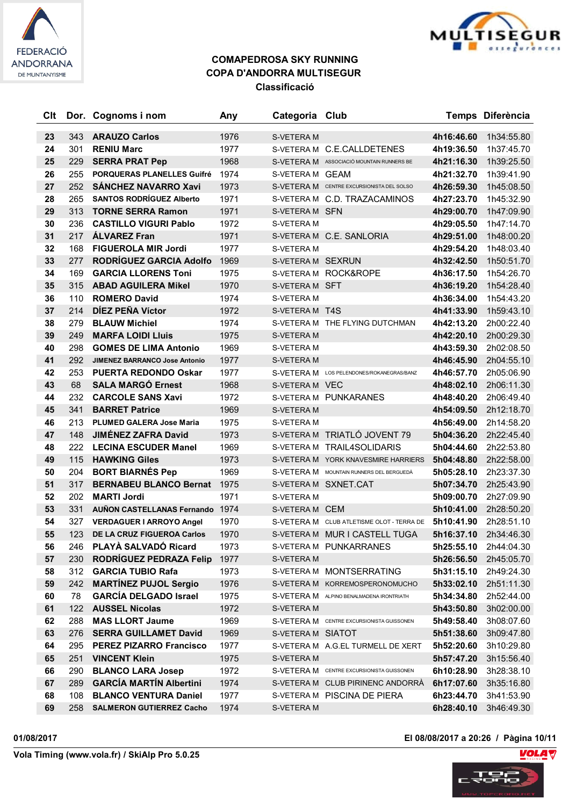



| Clt |     | Dor. Cognoms i nom                     | Any  | Categoria Club    |                                           |            | Temps Diferència |
|-----|-----|----------------------------------------|------|-------------------|-------------------------------------------|------------|------------------|
| 23  | 343 | <b>ARAUZO Carlos</b>                   | 1976 | S-VETERA M        |                                           | 4h16:46.60 | 1h34:55.80       |
| 24  | 301 | <b>RENIU Marc</b>                      | 1977 |                   | S-VETERA M C.E.CALLDETENES                | 4h19:36.50 | 1h37:45.70       |
| 25  | 229 | <b>SERRA PRAT Pep</b>                  | 1968 |                   | S-VETERA M ASSOCIACIÓ MOUNTAIN RUNNERS BE | 4h21:16.30 | 1h39:25.50       |
| 26  | 255 | PORQUERAS PLANELLES Guifré             | 1974 | S-VETERA M GEAM   |                                           | 4h21:32.70 | 1h39:41.90       |
| 27  | 252 | <b>SANCHEZ NAVARRO Xavi</b>            | 1973 |                   | S-VETERA M CENTRE EXCURSIONISTA DEL SOLSO | 4h26:59.30 | 1h45:08.50       |
| 28  | 265 | <b>SANTOS RODRÍGUEZ Alberto</b>        | 1971 |                   | S-VETERA M C.D. TRAZACAMINOS              | 4h27:23.70 | 1h45:32.90       |
| 29  | 313 | <b>TORNE SERRA Ramon</b>               | 1971 | S-VETERA M SFN    |                                           | 4h29:00.70 | 1h47:09.90       |
| 30  | 236 | <b>CASTILLO VIGURI Pablo</b>           | 1972 | <b>S-VETERA M</b> |                                           | 4h29:05.50 | 1h47:14.70       |
| 31  | 217 | <b>ÁLVAREZ Fran</b>                    | 1971 |                   | S-VETERA M C.E. SANLORIA                  | 4h29:51.00 | 1h48:00.20       |
| 32  | 168 | <b>FIGUEROLA MIR Jordi</b>             | 1977 | S-VETERA M        |                                           | 4h29:54.20 | 1h48:03.40       |
| 33  | 277 | RODRÍGUEZ GARCIA Adolfo                | 1969 | S-VETERA M SEXRUN |                                           | 4h32:42.50 | 1h50:51.70       |
| 34  | 169 | <b>GARCIA LLORENS Toni</b>             | 1975 |                   | S-VETERA M ROCK&ROPE                      | 4h36:17.50 | 1h54:26.70       |
| 35  | 315 | <b>ABAD AGUILERA Mikel</b>             | 1970 | S-VETERA M SFT    |                                           | 4h36:19.20 | 1h54:28.40       |
| 36  | 110 | <b>ROMERO David</b>                    | 1974 | S-VETERA M        |                                           | 4h36:34.00 | 1h54:43.20       |
| 37  | 214 | DÍEZ PEÑA Víctor                       | 1972 | S-VETERA M T4S    |                                           | 4h41:33.90 | 1h59:43.10       |
| 38  | 279 | <b>BLAUW Michiel</b>                   | 1974 |                   | S-VETERA M THE FLYING DUTCHMAN            | 4h42:13.20 | 2h00:22.40       |
| 39  | 249 | <b>MARFA LOIDI Lluis</b>               | 1975 | S-VETERA M        |                                           | 4h42:20.10 | 2h00:29.30       |
| 40  | 298 | <b>GOMES DE LIMA Antonio</b>           | 1969 | S-VETERA M        |                                           | 4h43:59.30 | 2h02:08.50       |
| 41  | 292 | <b>JIMENEZ BARRANCO Jose Antonio</b>   | 1977 | S-VETERA M        |                                           | 4h46:45.90 | 2h04:55.10       |
| 42  | 253 | <b>PUERTA REDONDO Oskar</b>            | 1977 |                   | S-VETERA M LOS PELENDONES/ROKANEGRAS/BANZ | 4h46:57.70 | 2h05:06.90       |
| 43  | 68  | <b>SALA MARGÓ Ernest</b>               | 1968 | S-VETERA M VEC    |                                           | 4h48:02.10 | 2h06:11.30       |
| 44  | 232 | <b>CARCOLE SANS Xavi</b>               | 1972 |                   | S-VETERA M PUNKARANES                     | 4h48:40.20 | 2h06:49.40       |
| 45  | 341 | <b>BARRET Patrice</b>                  | 1969 | S-VETERA M        |                                           | 4h54:09.50 | 2h12:18.70       |
| 46  | 213 | <b>PLUMED GALERA Jose Maria</b>        | 1975 | S-VETERA M        |                                           | 4h56:49.00 | 2h14:58.20       |
| 47  | 148 | <b>JIMÉNEZ ZAFRA David</b>             | 1973 |                   | S-VETERA M TRIATLÓ JOVENT 79              | 5h04:36.20 | 2h22:45.40       |
| 48  | 222 | <b>LECINA ESCUDER Manel</b>            | 1969 |                   | S-VETERA M TRAIL4SOLIDARIS                | 5h04:44.60 | 2h22:53.80       |
| 49  | 115 | <b>HAWKING Giles</b>                   | 1973 |                   | S-VETERA M YORK KNAVESMIRE HARRIERS       | 5h04:48.80 | 2h22:58.00       |
| 50  | 204 | <b>BORT BIARNÉS Pep</b>                | 1969 |                   | S-VETERA M MOUNTAIN RUNNERS DEL BERGUEDÀ  | 5h05:28.10 | 2h23:37.30       |
| 51  | 317 | <b>BERNABEU BLANCO Bernat</b>          | 1975 |                   | S-VETERA M SXNET.CAT                      | 5h07:34.70 | 2h25:43.90       |
| 52  | 202 | <b>MARTI Jordi</b>                     | 1971 | S-VETERA M        |                                           | 5h09:00.70 | 2h27:09.90       |
| 53  | 331 | <b>AUÑON CASTELLANAS Fernando 1974</b> |      | S-VETERA M CEM    |                                           | 5h10:41.00 | 2h28:50.20       |
| 54  | 327 | <b>VERDAGUER I ARROYO Angel</b>        | 1970 |                   | S-VETERA M CLUB ATLETISME OLOT - TERRA DE | 5h10:41.90 | 2h28:51.10       |
| 55  | 123 | DE LA CRUZ FIGUEROA Carlos             | 1970 |                   | S-VETERA M MUR I CASTELL TUGA             | 5h16:37.10 | 2h34:46.30       |
| 56  | 246 | <b>PLAYÀ SALVADÓ Ricard</b>            | 1973 |                   | S-VETERA M PUNKARRANES                    | 5h25:55.10 | 2h44:04.30       |
| 57  | 230 | RODRÍGUEZ PEDRAZA Felip                | 1977 | S-VETERA M        |                                           | 5h26:56.50 | 2h45:05.70       |
| 58  | 312 | <b>GARCIA TUBIO Rafa</b>               | 1973 |                   | S-VETERA M MONTSERRATING                  | 5h31:15.10 | 2h49:24.30       |
| 59  | 242 | <b>MARTÍNEZ PUJOL Sergio</b>           | 1976 |                   | S-VETERA M KORREMOSPERONOMUCHO            | 5h33:02.10 | 2h51:11.30       |
| 60  | 78  | <b>GARCÍA DELGADO Israel</b>           | 1975 |                   | S-VETERA M ALPINO BENALMADENA IRONTRIATH  | 5h34:34.80 | 2h52:44.00       |
| 61  | 122 | <b>AUSSEL Nicolas</b>                  | 1972 | S-VETERA M        |                                           | 5h43:50.80 | 3h02:00.00       |
| 62  | 288 | <b>MAS LLORT Jaume</b>                 | 1969 |                   | S-VETERA M CENTRE EXCURSIONISTA GUISSONEN | 5h49:58.40 | 3h08:07.60       |
| 63  | 276 | <b>SERRA GUILLAMET David</b>           | 1969 | S-VETERA M SIATOT |                                           | 5h51:38.60 | 3h09:47.80       |
| 64  | 295 | <b>PEREZ PIZARRO Francisco</b>         | 1977 |                   | S-VETERA M A.G.EL TURMELL DE XERT         | 5h52:20.60 | 3h10:29.80       |
| 65  | 251 | <b>VINCENT Klein</b>                   | 1975 | S-VETERA M        |                                           | 5h57:47.20 | 3h15:56.40       |
| 66  | 290 | <b>BLANCO LARA Josep</b>               | 1972 |                   | S-VETERA M CENTRE EXCURSIONISTA GUISSONEN | 6h10:28.90 | 3h28:38.10       |
| 67  | 289 | <b>GARCÍA MARTÍN Albertini</b>         | 1974 |                   | S-VETERA M CLUB PIRINENC ANDORRÀ          | 6h17:07.60 | 3h35:16.80       |
| 68  | 108 | <b>BLANCO VENTURA Daniel</b>           | 1977 |                   | S-VETERA M PISCINA DE PIERA               | 6h23:44.70 | 3h41:53.90       |
| 69  | 258 | <b>SALMERON GUTIERREZ Cacho</b>        | 1974 | S-VETERA M        |                                           | 6h28:40.10 | 3h46:49.30       |

**01/08/2017 El 08/08/2017 a 20:26 / Pàgina 10/11**